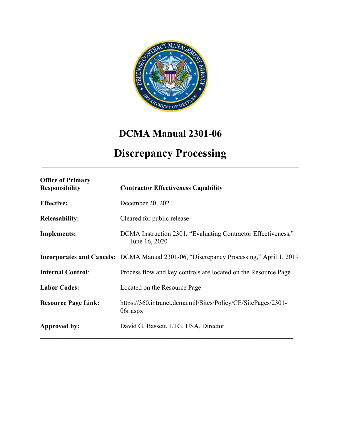

# **DCMA Manual 2301-06**

# **Discrepancy Processing \_\_\_\_\_\_\_\_\_\_\_\_\_\_\_\_\_\_\_\_\_\_\_\_\_\_\_\_\_\_\_\_\_\_\_\_\_\_\_\_\_\_\_\_\_\_\_\_\_\_\_\_\_\_\_\_\_\_\_\_\_\_\_\_\_\_**

| <b>Office of Primary</b><br><b>Responsibility</b> | <b>Contractor Effectiveness Capability</b>                                                    |
|---------------------------------------------------|-----------------------------------------------------------------------------------------------|
| <b>Effective:</b>                                 | December 20, 2021                                                                             |
| <b>Releasability:</b>                             | Cleared for public release                                                                    |
| <b>Implements:</b>                                | DCMA Instruction 2301, "Evaluating Contractor Effectiveness,"<br>June 16, 2020                |
|                                                   | <b>Incorporates and Cancels:</b> DCMA Manual 2301-06, "Discrepancy Processing," April 1, 2019 |
| <b>Internal Control:</b>                          | Process flow and key controls are located on the Resource Page                                |
| <b>Labor Codes:</b>                               | Located on the Resource Page                                                                  |
| <b>Resource Page Link:</b>                        | https://360.intranet.dcma.mil/Sites/Policy/CE/SitePages/2301-<br>$06r$ .aspx                  |
| Approved by:                                      | David G. Bassett, LTG, USA, Director                                                          |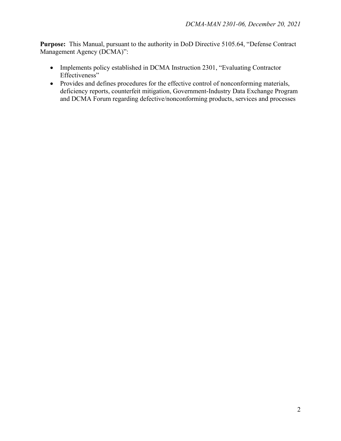**Purpose:** This Manual, pursuant to the authority in DoD Directive 5105.64, "Defense Contract Management Agency (DCMA)":

- Implements policy established in DCMA Instruction 2301, "Evaluating Contractor Effectiveness"
- Provides and defines procedures for the effective control of nonconforming materials, deficiency reports, counterfeit mitigation, Government-Industry Data Exchange Program and DCMA Forum regarding defective/nonconforming products, services and processes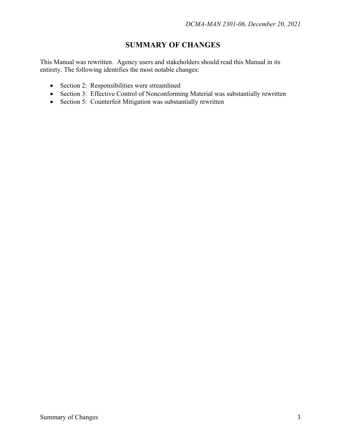## **SUMMARY OF CHANGES**

This Manual was rewritten. Agency users and stakeholders should read this Manual in its entirety. The following identifies the most notable changes:

- Section 2: Responsibilities were streamlined
- Section 3: Effective Control of Nonconforming Material was substantially rewritten
- Section 5: Counterfeit Mitigation was substantially rewritten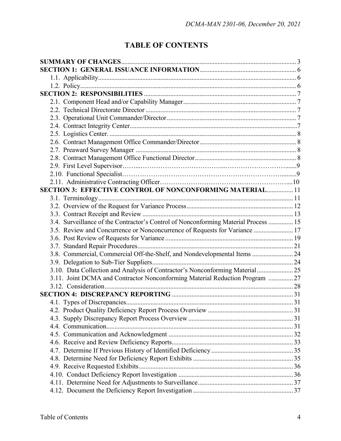# **TABLE OF CONTENTS**

| SECTION 3: EFFECTIVE CONTROL OF NONCONFORMING MATERIAL 11                           |  |
|-------------------------------------------------------------------------------------|--|
|                                                                                     |  |
|                                                                                     |  |
|                                                                                     |  |
| 3.4. Surveillance of the Contractor's Control of Nonconforming Material Process  15 |  |
| 3.5. Review and Concurrence or Nonconcurrence of Requests for Variance  17          |  |
|                                                                                     |  |
|                                                                                     |  |
| 3.8. Commercial, Commercial Off-the-Shelf, and Nondevelopmental Items  24           |  |
|                                                                                     |  |
| 3.10. Data Collection and Analysis of Contractor's Nonconforming Material 25        |  |
| 3.11. Joint DCMA and Contractor Nonconforming Material Reduction Program  27        |  |
|                                                                                     |  |
|                                                                                     |  |
|                                                                                     |  |
|                                                                                     |  |
|                                                                                     |  |
|                                                                                     |  |
|                                                                                     |  |
|                                                                                     |  |
|                                                                                     |  |
|                                                                                     |  |
|                                                                                     |  |
|                                                                                     |  |
|                                                                                     |  |
|                                                                                     |  |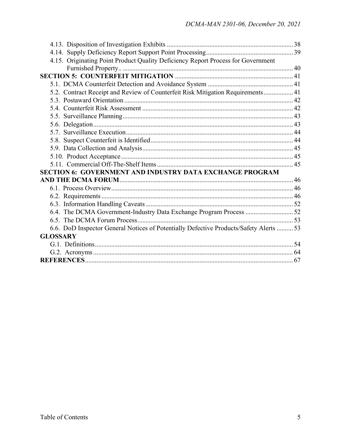| 4.15. Originating Point Product Quality Deficiency Report Process for Government       |  |
|----------------------------------------------------------------------------------------|--|
|                                                                                        |  |
|                                                                                        |  |
|                                                                                        |  |
| 5.2. Contract Receipt and Review of Counterfeit Risk Mitigation Requirements 41        |  |
|                                                                                        |  |
|                                                                                        |  |
|                                                                                        |  |
|                                                                                        |  |
|                                                                                        |  |
|                                                                                        |  |
|                                                                                        |  |
|                                                                                        |  |
|                                                                                        |  |
| SECTION 6: GOVERNMENT AND INDUSTRY DATA EXCHANGE PROGRAM                               |  |
|                                                                                        |  |
|                                                                                        |  |
|                                                                                        |  |
|                                                                                        |  |
| 6.4. The DCMA Government-Industry Data Exchange Program Process 52                     |  |
|                                                                                        |  |
| 6.6. DoD Inspector General Notices of Potentially Defective Products/Safety Alerts  53 |  |
| <b>GLOSSARY</b>                                                                        |  |
|                                                                                        |  |
|                                                                                        |  |
|                                                                                        |  |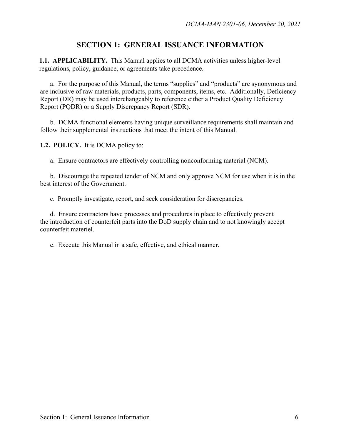## **SECTION 1: GENERAL ISSUANCE INFORMATION**

**1.1. APPLICABILITY.** This Manual applies to all DCMA activities unless higher-level regulations, policy, guidance, or agreements take precedence.

a. For the purpose of this Manual, the terms "supplies" and "products" are synonymous and are inclusive of raw materials, products, parts, components, items, etc. Additionally, Deficiency Report (DR) may be used interchangeably to reference either a Product Quality Deficiency Report (PQDR) or a Supply Discrepancy Report (SDR).

b. DCMA functional elements having unique surveillance requirements shall maintain and follow their supplemental instructions that meet the intent of this Manual.

**1.2. POLICY.** It is DCMA policy to:

a. Ensure contractors are effectively controlling nonconforming material (NCM).

 b. Discourage the repeated tender of NCM and only approve NCM for use when it is in the best interest of the Government.

c. Promptly investigate, report, and seek consideration for discrepancies.

d. Ensure contractors have processes and procedures in place to effectively prevent the introduction of counterfeit parts into the DoD supply chain and to not knowingly accept counterfeit materiel.

e. Execute this Manual in a safe, effective, and ethical manner.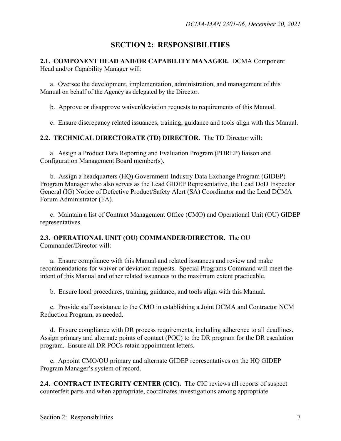## **SECTION 2: RESPONSIBILITIES**

### **2.1. COMPONENT HEAD AND/OR CAPABILITY MANAGER.** DCMA Component Head and/or Capability Manager will:

a. Oversee the development, implementation, administration, and management of this Manual on behalf of the Agency as delegated by the Director.

b. Approve or disapprove waiver/deviation requests to requirements of this Manual.

c. Ensure discrepancy related issuances, training, guidance and tools align with this Manual.

### **2.2. TECHNICAL DIRECTORATE (TD) DIRECTOR.** The TD Director will:

a. Assign a Product Data Reporting and Evaluation Program (PDREP) liaison and Configuration Management Board member(s).

 b. Assign a headquarters (HQ) Government-Industry Data Exchange Program (GIDEP) Program Manager who also serves as the Lead GIDEP Representative, the Lead DoD Inspector General (IG) Notice of Defective Product/Safety Alert (SA) Coordinator and the Lead DCMA Forum Administrator (FA).

 c. Maintain a list of Contract Management Office (CMO) and Operational Unit (OU) GIDEP representatives.

#### **2.3. OPERATIONAL UNIT (OU) COMMANDER/DIRECTOR.** The OU Commander/Director will:

a. Ensure compliance with this Manual and related issuances and review and make recommendations for waiver or deviation requests. Special Programs Command will meet the intent of this Manual and other related issuances to the maximum extent practicable.

b. Ensure local procedures, training, guidance, and tools align with this Manual.

c. Provide staff assistance to the CMO in establishing a Joint DCMA and Contractor NCM Reduction Program, as needed.

d. Ensure compliance with DR process requirements, including adherence to all deadlines. Assign primary and alternate points of contact (POC) to the DR program for the DR escalation program. Ensure all DR POCs retain appointment letters.

e. Appoint CMO/OU primary and alternate GIDEP representatives on the HQ GIDEP Program Manager's system of record.

**2.4. CONTRACT INTEGRITY CENTER (CIC).** The CIC reviews all reports of suspect counterfeit parts and when appropriate, coordinates investigations among appropriate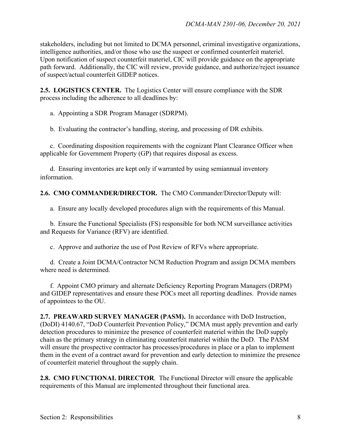stakeholders, including but not limited to DCMA personnel, criminal investigative organizations, intelligence authorities, and/or those who use the suspect or confirmed counterfeit materiel. Upon notification of suspect counterfeit materiel, CIC will provide guidance on the appropriate path forward. Additionally, the CIC will review, provide guidance, and authorize/reject issuance of suspect/actual counterfeit GIDEP notices.

**2.5. LOGISTICS CENTER.** The Logistics Center will ensure compliance with the SDR process including the adherence to all deadlines by:

a. Appointing a SDR Program Manager (SDRPM).

b. Evaluating the contractor's handling, storing, and processing of DR exhibits.

c. Coordinating disposition requirements with the cognizant Plant Clearance Officer when applicable for Government Property (GP) that requires disposal as excess.

d. Ensuring inventories are kept only if warranted by using semiannual inventory information.

**2.6. CMO COMMANDER/DIRECTOR.** The CMO Commander/Director/Deputy will:

a. Ensure any locally developed procedures align with the requirements of this Manual.

b. Ensure the Functional Specialists (FS) responsible for both NCM surveillance activities and Requests for Variance (RFV) are identified.

c. Approve and authorize the use of Post Review of RFVs where appropriate.

d. Create a Joint DCMA/Contractor NCM Reduction Program and assign DCMA members where need is determined.

f. Appoint CMO primary and alternate Deficiency Reporting Program Managers (DRPM) and GIDEP representatives and ensure these POCs meet all reporting deadlines. Provide names of appointees to the OU.

**2.7. PREAWARD SURVEY MANAGER (PASM).** In accordance with DoD Instruction, (DoDI) 4140.67, "DoD Counterfeit Prevention Policy," DCMA must apply prevention and early detection procedures to minimize the presence of counterfeit materiel within the DoD supply chain as the primary strategy in eliminating counterfeit materiel within the DoD. The PASM will ensure the prospective contractor has processes/procedures in place or a plan to implement them in the event of a contract award for prevention and early detection to minimize the presence of counterfeit materiel throughout the supply chain.

**2.8. CMO FUNCTIONAL DIRECTOR**. The Functional Director will ensure the applicable requirements of this Manual are implemented throughout their functional area.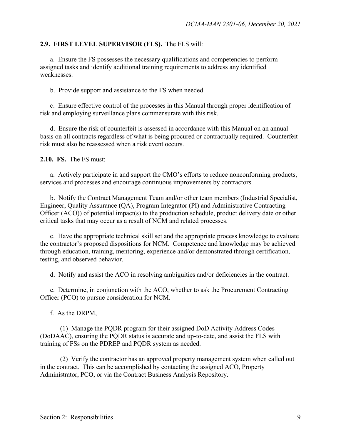### **2.9. FIRST LEVEL SUPERVISOR (FLS).** The FLS will:

a. Ensure the FS possesses the necessary qualifications and competencies to perform assigned tasks and identify additional training requirements to address any identified weaknesses.

b. Provide support and assistance to the FS when needed.

c. Ensure effective control of the processes in this Manual through proper identification of risk and employing surveillance plans commensurate with this risk.

d. Ensure the risk of counterfeit is assessed in accordance with this Manual on an annual basis on all contracts regardless of what is being procured or contractually required. Counterfeit risk must also be reassessed when a risk event occurs.

**2.10. FS.** The FS must:

a. Actively participate in and support the CMO's efforts to reduce nonconforming products, services and processes and encourage continuous improvements by contractors.

b. Notify the Contract Management Team and/or other team members (Industrial Specialist, Engineer, Quality Assurance (QA), Program Integrator (PI) and Administrative Contracting Officer (ACO)) of potential impact(s) to the production schedule, product delivery date or other critical tasks that may occur as a result of NCM and related processes.

 c. Have the appropriate technical skill set and the appropriate process knowledge to evaluate the contractor's proposed dispositions for NCM. Competence and knowledge may be achieved through education, training, mentoring, experience and/or demonstrated through certification, testing, and observed behavior.

d. Notify and assist the ACO in resolving ambiguities and/or deficiencies in the contract.

 e. Determine, in conjunction with the ACO, whether to ask the Procurement Contracting Officer (PCO) to pursue consideration for NCM.

f. As the DRPM,

 (1) Manage the PQDR program for their assigned DoD Activity Address Codes (DoDAAC), ensuring the PQDR status is accurate and up-to-date, and assist the FLS with training of FSs on the PDREP and PQDR system as needed.

(2) Verify the contractor has an approved property management system when called out in the contract. This can be accomplished by contacting the assigned ACO, Property Administrator, PCO, or via the Contract Business Analysis Repository.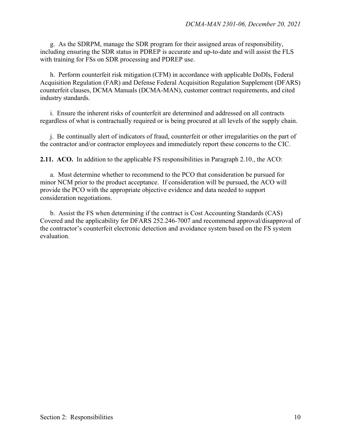g. As the SDRPM, manage the SDR program for their assigned areas of responsibility, including ensuring the SDR status in PDREP is accurate and up-to-date and will assist the FLS with training for FSs on SDR processing and PDREP use.

h. Perform counterfeit risk mitigation (CFM) in accordance with applicable DoDIs, Federal Acquisition Regulation (FAR) and Defense Federal Acquisition Regulation Supplement (DFARS) counterfeit clauses, DCMA Manuals (DCMA-MAN), customer contract requirements, and cited industry standards.

 i. Ensure the inherent risks of counterfeit are determined and addressed on all contracts regardless of what is contractually required or is being procured at all levels of the supply chain.

 j. Be continually alert of indicators of fraud, counterfeit or other irregularities on the part of the contractor and/or contractor employees and immediately report these concerns to the CIC.

**2.11. ACO.** In addition to the applicable FS responsibilities in Paragraph 2.10., the ACO:

 a. Must determine whether to recommend to the PCO that consideration be pursued for minor NCM prior to the product acceptance. If consideration will be pursued, the ACO will provide the PCO with the appropriate objective evidence and data needed to support consideration negotiations.

 b. Assist the FS when determining if the contract is Cost Accounting Standards (CAS) Covered and the applicability for DFARS 252.246-7007 and recommend approval/disapproval of the contractor's counterfeit electronic detection and avoidance system based on the FS system evaluation.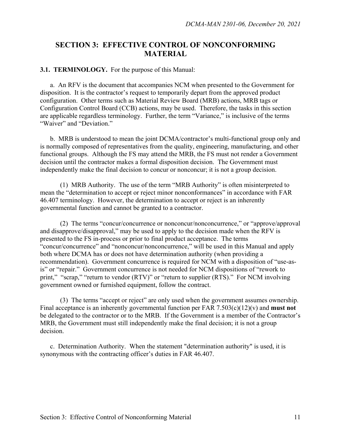## **SECTION 3: EFFECTIVE CONTROL OF NONCONFORMING MATERIAL**

#### **3.1. TERMINOLOGY.** For the purpose of this Manual:

 a. An RFV is the document that accompanies NCM when presented to the Government for disposition. It is the contractor's request to temporarily depart from the approved product configuration. Other terms such as Material Review Board (MRB) actions, MRB tags or Configuration Control Board (CCB) actions, may be used. Therefore, the tasks in this section are applicable regardless terminology. Further, the term "Variance," is inclusive of the terms "Waiver" and "Deviation."

 b. MRB is understood to mean the joint DCMA/contractor's multi-functional group only and is normally composed of representatives from the quality, engineering, manufacturing, and other functional groups. Although the FS may attend the MRB, the FS must not render a Government decision until the contractor makes a formal disposition decision. The Government must independently make the final decision to concur or nonconcur; it is not a group decision.

 (1) MRB Authority. The use of the term "MRB Authority" is often misinterpreted to mean the "determination to accept or reject minor nonconformances" in accordance with FAR 46.407 terminology. However, the determination to accept or reject is an inherently governmental function and cannot be granted to a contractor.

 (2) The terms "concur/concurrence or nonconcur/nonconcurrence," or "approve/approval and disapprove/disapproval," may be used to apply to the decision made when the RFV is presented to the FS in-process or prior to final product acceptance. The terms "concur/concurrence" and "nonconcur/nonconcurrence," will be used in this Manual and apply both where DCMA has or does not have determination authority (when providing a recommendation). Government concurrence is required for NCM with a disposition of "use-asis" or "repair." Government concurrence is not needed for NCM dispositions of "rework to print," "scrap," "return to vendor (RTV)" or "return to supplier (RTS)." For NCM involving government owned or furnished equipment, follow the contract.

(3) The terms "accept or reject" are only used when the government assumes ownership. Final acceptance is an inherently governmental function per FAR 7.503(c)(12)(v) and **must not** be delegated to the contractor or to the MRB. If the Government is a member of the Contractor's MRB, the Government must still independently make the final decision; it is not a group decision.

c. Determination Authority. When the statement "determination authority" is used, it is synonymous with the contracting officer's duties in FAR 46.407.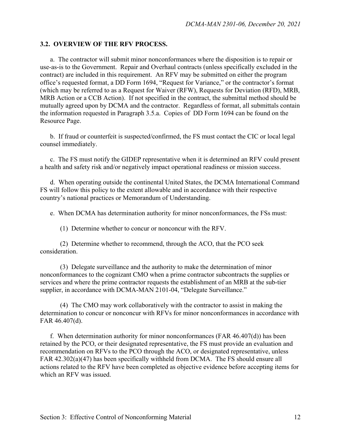#### **3.2. OVERVIEW OF THE RFV PROCESS.**

a.The contractor will submit minor nonconformances where the disposition is to repair or use-as-is to the Government. Repair and Overhaul contracts (unless specifically excluded in the contract) are included in this requirement. An RFV may be submitted on either the program office's requested format, a DD Form 1694, "Request for Variance," or the contractor's format (which may be referred to as a Request for Waiver (RFW), Requests for Deviation (RFD), MRB, MRB Action or a CCB Action). If not specified in the contract, the submittal method should be mutually agreed upon by DCMA and the contractor. Regardless of format, all submittals contain the information requested in Paragraph 3.5.a. Copies of DD Form 1694 can be found on the Resource Page.

 b. If fraud or counterfeit is suspected/confirmed, the FS must contact the CIC or local legal counsel immediately.

 c. The FS must notify the GIDEP representative when it is determined an RFV could present a health and safety risk and/or negatively impact operational readiness or mission success.

 d. When operating outside the continental United States, the DCMA International Command FS will follow this policy to the extent allowable and in accordance with their respective country's national practices or Memorandum of Understanding.

e. When DCMA has determination authority for minor nonconformances, the FSs must:

(1) Determine whether to concur or nonconcur with the RFV.

 (2) Determine whether to recommend, through the ACO, that the PCO seek consideration.

(3) Delegate surveillance and the authority to make the determination of minor nonconformances to the cognizant CMO when a prime contractor subcontracts the supplies or services and where the prime contractor requests the establishment of an MRB at the sub-tier supplier, in accordance with DCMA-MAN 2101-04, "Delegate Surveillance."

 (4) The CMO may work collaboratively with the contractor to assist in making the determination to concur or nonconcur with RFVs for minor nonconformances in accordance with FAR 46.407(d).

 f. When determination authority for minor nonconformances (FAR 46.407(d)) has been retained by the PCO, or their designated representative, the FS must provide an evaluation and recommendation on RFVs to the PCO through the ACO, or designated representative, unless FAR 42.302(a)(47) has been specifically withheld from DCMA. The FS should ensure all actions related to the RFV have been completed as objective evidence before accepting items for which an RFV was issued.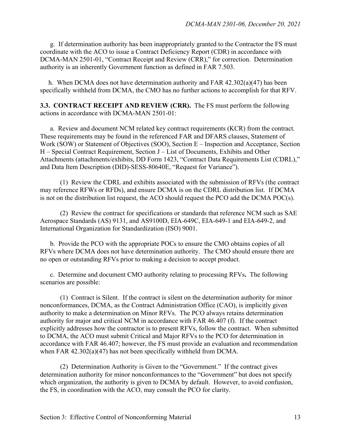g. If determination authority has been inappropriately granted to the Contractor the FS must coordinate with the ACO to issue a Contract Deficiency Report (CDR) in accordance with DCMA-MAN 2501-01, "Contract Receipt and Review (CRR)," for correction. Determination authority is an inherently Government function as defined in FAR 7.503.

 h. When DCMA does not have determination authority and FAR 42.302(a)(47) has been specifically withheld from DCMA, the CMO has no further actions to accomplish for that RFV.

**3.3. CONTRACT RECEIPT AND REVIEW (CRR).** The FS must perform the following actions in accordance with DCMA-MAN 2501-01:

 a. Review and document NCM related key contract requirements (KCR) from the contract. These requirements may be found in the referenced FAR and DFARS clauses, Statement of Work (SOW) or Statement of Objectives (SOO), Section E – Inspection and Acceptance, Section H – Special Contract Requirement, Section J – List of Documents, Exhibits and Other Attachments (attachments/exhibits, DD Form 1423, "Contract Data Requirements List (CDRL)," and Data Item Description (DID)-SESS-80640E, "Request for Variance").

(1) Review the CDRL and exhibits associated with the submission of RFVs (the contract may reference RFWs or RFDs), and ensure DCMA is on the CDRL distribution list. If DCMA is not on the distribution list request, the ACO should request the PCO add the DCMA POC(s).

(2) Review the contract for specifications or standards that reference NCM such as SAE Aerospace Standards (AS) 9131, and AS9100D, EIA-649C, EIA-649-1 and EIA-649-2, and International Organization for Standardization (ISO) 9001.

 b. Provide the PCO with the appropriate POCs to ensure the CMO obtains copies of all RFVs where DCMA does not have determination authority. The CMO should ensure there are no open or outstanding RFVs prior to making a decision to accept product.

 c. Determine and document CMO authority relating to processing RFVs**.** The following scenarios are possible:

 (1) Contract is Silent. If the contract is silent on the determination authority for minor nonconformances, DCMA, as the Contract Administration Office (CAO), is implicitly given authority to make a determination on Minor RFVs. The PCO always retains determination authority for major and critical NCM in accordance with FAR 46.407 (f). If the contract explicitly addresses how the contractor is to present RFVs, follow the contract. When submitted to DCMA, the ACO must submit Critical and Major RFVs to the PCO for determination in accordance with FAR 46.407; however, the FS must provide an evaluation and recommendation when FAR 42.302(a)(47) has not been specifically withheld from DCMA.

 (2) Determination Authority is Given to the "Government." If the contract gives determination authority for minor nonconformances to the "Government" but does not specify which organization, the authority is given to DCMA by default. However, to avoid confusion, the FS, in coordination with the ACO, may consult the PCO for clarity.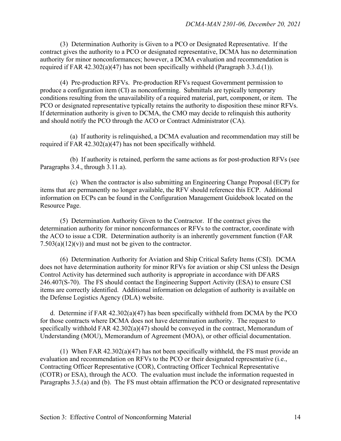(3) Determination Authority is Given to a PCO or Designated Representative. If the contract gives the authority to a PCO or designated representative, DCMA has no determination authority for minor nonconformances; however, a DCMA evaluation and recommendation is required if FAR 42.302(a)(47) has not been specifically withheld (Paragraph 3.3.d.(1)).

 (4) Pre-production RFVs. Pre-production RFVs request Government permission to produce a configuration item (CI) as nonconforming. Submittals are typically temporary conditions resulting from the unavailability of a required material, part, component, or item. The PCO or designated representative typically retains the authority to disposition these minor RFVs. If determination authority is given to DCMA, the CMO may decide to relinquish this authority and should notify the PCO through the ACO or Contract Administrator (CA).

(a) If authority is relinquished, a DCMA evaluation and recommendation may still be required if FAR 42.302(a)(47) has not been specifically withheld.

 (b) If authority is retained, perform the same actions as for post-production RFVs (see Paragraphs 3.4., through 3.11.a).

 (c) When the contractor is also submitting an Engineering Change Proposal (ECP) for items that are permanently no longer available, the RFV should reference this ECP. Additional information on ECPs can be found in the Configuration Management Guidebook located on the Resource Page.

(5) Determination Authority Given to the Contractor. If the contract gives the determination authority for minor nonconformances or RFVs to the contractor, coordinate with the ACO to issue a CDR. Determination authority is an inherently government function (FAR  $7.503(a)(12)(v)$  and must not be given to the contractor.

 (6) Determination Authority for Aviation and Ship Critical Safety Items (CSI). DCMA does not have determination authority for minor RFVs for aviation or ship CSI unless the Design Control Activity has determined such authority is appropriate in accordance with DFARS 246.407(S-70). The FS should contact the Engineering Support Activity (ESA) to ensure CSI items are correctly identified. Additional information on delegation of authority is available on the Defense Logistics Agency (DLA) website.

d. Determine if FAR 42.302(a)(47) has been specifically withheld from DCMA by the PCO for those contracts where DCMA does not have determination authority. The request to specifically withhold FAR 42.302(a)(47) should be conveyed in the contract, Memorandum of Understanding (MOU), Memorandum of Agreement (MOA), or other official documentation.

 (1) When FAR 42.302(a)(47) has not been specifically withheld, the FS must provide an evaluation and recommendation on RFVs to the PCO or their designated representative (i.e., Contracting Officer Representative (COR), Contracting Officer Technical Representative (COTR) or ESA), through the ACO. The evaluation must include the information requested in Paragraphs 3.5.(a) and (b). The FS must obtain affirmation the PCO or designated representative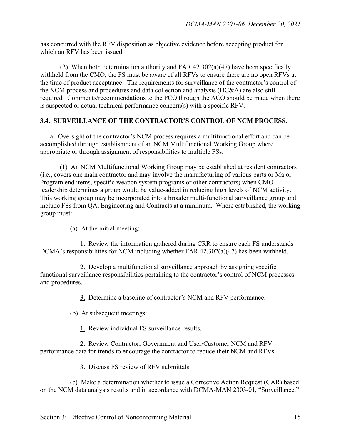has concurred with the RFV disposition as objective evidence before accepting product for which an RFV has been issued.

(2) When both determination authority and FAR  $42.302(a)(47)$  have been specifically withheld from the CMO**,** the FS must be aware of all RFVs to ensure there are no open RFVs at the time of product acceptance. The requirements for surveillance of the contractor's control of the NCM process and procedures and data collection and analysis (DC&A) are also still required. Comments/recommendations to the PCO through the ACO should be made when there is suspected or actual technical performance concern(s) with a specific RFV.

#### **3.4. SURVEILLANCE OF THE CONTRACTOR'S CONTROL OF NCM PROCESS.**

 a. Oversight of the contractor's NCM process requires a multifunctional effort and can be accomplished through establishment of an NCM Multifunctional Working Group where appropriate or through assignment of responsibilities to multiple FSs.

 (1) An NCM Multifunctional Working Group may be established at resident contractors (i.e., covers one main contractor and may involve the manufacturing of various parts or Major Program end items, specific weapon system programs or other contractors) when CMO leadership determines a group would be value-added in reducing high levels of NCM activity. This working group may be incorporated into a broader multi-functional surveillance group and include FSs from QA, Engineering and Contracts at a minimum. Where established, the working group must:

(a) At the initial meeting:

 1. Review the information gathered during CRR to ensure each FS understands DCMA's responsibilities for NCM including whether FAR 42.302(a)(47) has been withheld.

 2. Develop a multifunctional surveillance approach by assigning specific functional surveillance responsibilities pertaining to the contractor's control of NCM processes and procedures.

3. Determine a baseline of contractor's NCM and RFV performance.

(b) At subsequent meetings:

1. Review individual FS surveillance results.

 2. Review Contractor, Government and User/Customer NCM and RFV performance data for trends to encourage the contractor to reduce their NCM and RFVs.

3. Discuss FS review of RFV submittals.

 (c) Make a determination whether to issue a Corrective Action Request (CAR) based on the NCM data analysis results and in accordance with DCMA-MAN 2303-01, "Surveillance."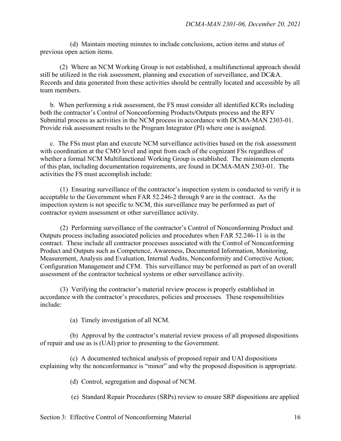(d) Maintain meeting minutes to include conclusions, action items and status of previous open action items.

 (2) Where an NCM Working Group is not established, a multifunctional approach should still be utilized in the risk assessment, planning and execution of surveillance, and DC&A. Records and data generated from these activities should be centrally located and accessible by all team members.

 b.When performing a risk assessment, the FS must consider all identified KCRs including both the contractor's Control of Nonconforming Products/Outputs process and the RFV Submittal process as activities in the NCM process in accordance with DCMA-MAN 2303-01. Provide risk assessment results to the Program Integrator (PI) where one is assigned.

 c. The FSs must plan and execute NCM surveillance activities based on the risk assessment with coordination at the CMO level and input from each of the cognizant FSs regardless of whether a formal NCM Multifunctional Working Group is established. The minimum elements of this plan, including documentation requirements, are found in DCMA-MAN 2303-01. The activities the FS must accomplish include:

 (1) Ensuring surveillance of the contractor's inspection system is conducted to verify it is acceptable to the Government when FAR 52.246-2 through 9 are in the contract. As the inspection system is not specific to NCM, this surveillance may be performed as part of contractor system assessment or other surveillance activity.

(2) Performing surveillance of the contractor's Control of Nonconforming Product and Outputs process including associated policies and procedures when FAR 52.246-11 is in the contract. These include all contractor processes associated with the Control of Nonconforming Product and Outputs such as Competence, Awareness, Documented Information, Monitoring, Measurement, Analysis and Evaluation, Internal Audits, Nonconformity and Corrective Action; Configuration Management and CFM. This surveillance may be performed as part of an overall assessment of the contractor technical systems or other surveillance activity.

(3) Verifying the contractor's material review process is properly established in accordance with the contractor's procedures, policies and processes. These responsibilities include:

(a)Timely investigation of all NCM.

 (b)Approval by the contractor's material review process of all proposed dispositions of repair and use as is (UAI) prior to presenting to the Government.

 (c)A documented technical analysis of proposed repair and UAI dispositions explaining why the nonconformance is "minor" and why the proposed disposition is appropriate.

(d)Control, segregation and disposal of NCM.

(e) Standard Repair Procedures (SRPs) review to ensure SRP dispositions are applied

Section 3: Effective Control of Nonconforming Material 16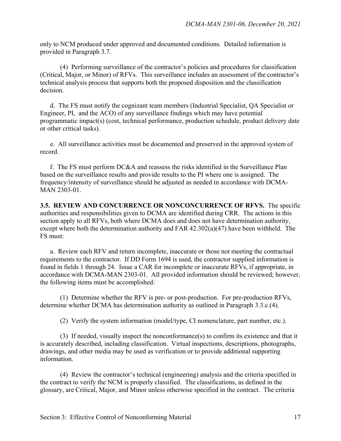only to NCM produced under approved and documented conditions. Detailed information is provided in Paragraph 3.7.

 (4) Performing surveillance of the contractor's policies and procedures for classification (Critical, Major, or Minor) of RFVs. This surveillance includes an assessment of the contractor's technical analysis process that supports both the proposed disposition and the classification decision.

d. The FS must notify the cognizant team members (Industrial Specialist, QA Specialist or Engineer, PI, and the ACO) of any surveillance findings which may have potential programmatic impact(s) (cost, technical performance, production schedule, product delivery date or other critical tasks).

 e. All surveillance activities must be documented and preserved in the approved system of record.

 f. The FS must perform DC&A and reassess the risks identified in the Surveillance Plan based on the surveillance results and provide results to the PI where one is assigned. The frequency/intensity of surveillance should be adjusted as needed in accordance with DCMA-MAN 2303-01.

**3.5. REVIEW AND CONCURRENCE OR NONCONCURRENCE OF RFVS.** The specific authorities and responsibilities given to DCMA are identified during CRR. The actions in this section apply to all RFVs, both where DCMA does and does not have determination authority, except where both the determination authority and FAR 42.302(a)(47) have been withheld. The FS must:

 a. Review each RFV and return incomplete, inaccurate or those not meeting the contractual requirements to the contractor. If DD Form 1694 is used, the contractor supplied information is found in fields 1 through 24. Issue a CAR for incomplete or inaccurate RFVs, if appropriate, in accordance with DCMA-MAN 2303-01. All provided information should be reviewed; however, the following items must be accomplished:

 (1) Determine whether the RFV is pre- or post-production. For pre-production RFVs, determine whether DCMA has determination authority as outlined in Paragraph 3.3.c.(4).

(2) Verify the system information (model/type, CI nomenclature, part number, etc.).

 (3) If needed, visually inspect the nonconformance(s) to confirm its existence and that it is accurately described, including classification. Virtual inspections, descriptions, photographs, drawings, and other media may be used as verification or to provide additional supporting information.

 (4) Review the contractor's technical (engineering) analysis and the criteria specified in the contract to verify the NCM is properly classified. The classifications, as defined in the glossary, are Critical, Major, and Minor unless otherwise specified in the contract. The criteria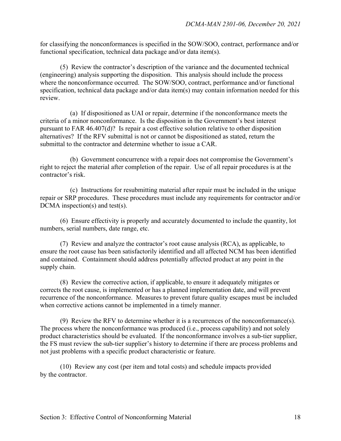for classifying the nonconformances is specified in the SOW/SOO, contract, performance and/or functional specification, technical data package and/or data item(s).

 (5) Review the contractor's description of the variance and the documented technical (engineering) analysis supporting the disposition. This analysis should include the process where the nonconformance occurred. The SOW/SOO, contract, performance and/or functional specification, technical data package and/or data item(s) may contain information needed for this review.

 (a)If dispositioned as UAI or repair, determine if the nonconformance meets the criteria of a minor nonconformance. Is the disposition in the Government's best interest pursuant to FAR 46.407(d)? Is repair a cost effective solution relative to other disposition alternatives? If the RFV submittal is not or cannot be dispositioned as stated, return the submittal to the contractor and determine whether to issue a CAR.

 (b) Government concurrence with a repair does not compromise the Government's right to reject the material after completion of the repair. Use of all repair procedures is at the contractor's risk.

 (c) Instructions for resubmitting material after repair must be included in the unique repair or SRP procedures. These procedures must include any requirements for contractor and/or DCMA inspection(s) and test(s).

 (6) Ensure effectivity is properly and accurately documented to include the quantity, lot numbers, serial numbers, date range, etc.

 (7) Review and analyze the contractor's root cause analysis (RCA), as applicable, to ensure the root cause has been satisfactorily identified and all affected NCM has been identified and contained. Containment should address potentially affected product at any point in the supply chain.

 (8) Review the corrective action, if applicable, to ensure it adequately mitigates or corrects the root cause, is implemented or has a planned implementation date, and will prevent recurrence of the nonconformance. Measures to prevent future quality escapes must be included when corrective actions cannot be implemented in a timely manner.

 (9) Review the RFV to determine whether it is a recurrences of the nonconformance(s). The process where the nonconformance was produced (i.e., process capability) and not solely product characteristics should be evaluated. If the nonconformance involves a sub-tier supplier, the FS must review the sub-tier supplier's history to determine if there are process problems and not just problems with a specific product characteristic or feature.

 (10) Review any cost (per item and total costs) and schedule impacts provided by the contractor.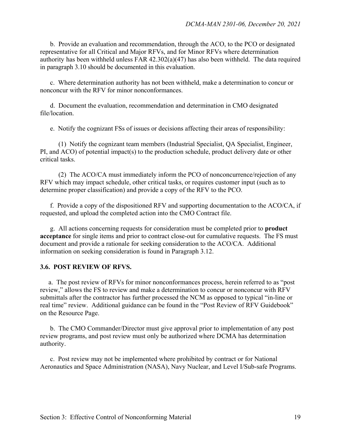b. Provide an evaluation and recommendation, through the ACO, to the PCO or designated representative for all Critical and Major RFVs, and for Minor RFVs where determination authority has been withheld unless FAR 42.302(a)(47) has also been withheld. The data required in paragraph 3.10 should be documented in this evaluation.

c.Where determination authority has not been withheld, make a determination to concur or nonconcur with the RFV for minor nonconformances.

d. Document the evaluation, recommendation and determination in CMO designated file/location.

e. Notify the cognizant FSs of issues or decisions affecting their areas of responsibility:

 (1) Notify the cognizant team members (Industrial Specialist, QA Specialist, Engineer, PI, and ACO) of potential impact(s) to the production schedule, product delivery date or other critical tasks.

 (2) The ACO/CA must immediately inform the PCO of nonconcurrence/rejection of any RFV which may impact schedule, other critical tasks, or requires customer input (such as to determine proper classification) and provide a copy of the RFV to the PCO.

f.Provide a copy of the dispositioned RFV and supporting documentation to the ACO/CA, if requested, and upload the completed action into the CMO Contract file.

g.All actions concerning requests for consideration must be completed prior to **product acceptance** for single items and prior to contract close-out for cumulative requests. The FS must document and provide a rationale for seeking consideration to the ACO/CA.Additional information on seeking consideration is found in Paragraph 3.12.

## **3.6. POST REVIEW OF RFVS.**

 a. The post review of RFVs for minor nonconformances process, herein referred to as "post review," allows the FS to review and make a determination to concur or nonconcur with RFV submittals after the contractor has further processed the NCM as opposed to typical "in-line or real time" review. Additional guidance can be found in the "Post Review of RFV Guidebook" on the Resource Page.

b. The CMO Commander/Director must give approval prior to implementation of any post review programs, and post review must only be authorized where DCMA has determination authority.

 c. Post review may not be implemented where prohibited by contract or for National Aeronautics and Space Administration (NASA), Navy Nuclear, and Level I/Sub-safe Programs.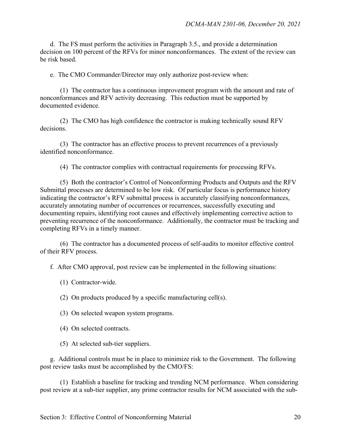d.The FS must perform the activities in Paragraph 3.5., and provide a determination decision on 100 percent of the RFVs for minor nonconformances. The extent of the review can be risk based.

e.The CMO Commander/Director may only authorize post-review when:

 (1) The contractor has a continuous improvement program with the amount and rate of nonconformances and RFV activity decreasing. This reduction must be supported by documented evidence.

 (2) The CMO has high confidence the contractor is making technically sound RFV decisions.

 (3) The contractor has an effective process to prevent recurrences of a previously identified nonconformance.

(4) The contractor complies with contractual requirements for processing RFVs.

 (5) Both the contractor's Control of Nonconforming Products and Outputs and the RFV Submittal processes are determined to be low risk. Of particular focus is performance history indicating the contractor's RFV submittal process is accurately classifying nonconformances, accurately annotating number of occurrences or recurrences, successfully executing and documenting repairs, identifying root causes and effectively implementing corrective action to preventing recurrence of the nonconformance. Additionally, the contractor must be tracking and completing RFVs in a timely manner.

 (6) The contractor has a documented process of self-audits to monitor effective control of their RFV process.

f. After CMO approval, post review can be implemented in the following situations:

- (1) Contractor-wide.
- (2) On products produced by a specific manufacturing cell(s).
- (3) On selected weapon system programs.
- (4) On selected contracts.
- (5) At selected sub-tier suppliers.

g. Additional controls must be in place to minimize risk to the Government. The following post review tasks must be accomplished by the CMO/FS:

 (1) Establish a baseline for tracking and trending NCM performance. When considering post review at a sub-tier supplier, any prime contractor results for NCM associated with the sub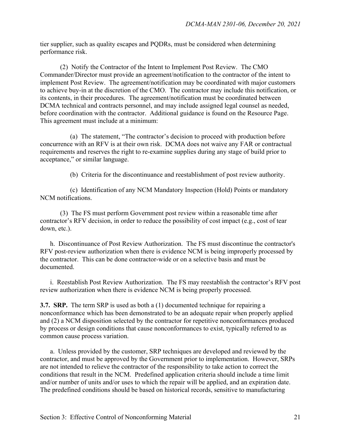tier supplier, such as quality escapes and PQDRs, must be considered when determining performance risk.

 (2) Notify the Contractor of the Intent to Implement Post Review. The CMO Commander/Director must provide an agreement/notification to the contractor of the intent to implement Post Review. The agreement/notification may be coordinated with major customers to achieve buy-in at the discretion of the CMO. The contractor may include this notification, or its contents, in their procedures. The agreement/notification must be coordinated between DCMA technical and contracts personnel, and may include assigned legal counsel as needed, before coordination with the contractor. Additional guidance is found on the Resource Page. This agreement must include at a minimum:

 (a) The statement, "The contractor's decision to proceed with production before concurrence with an RFV is at their own risk. DCMA does not waive any FAR or contractual requirements and reserves the right to re-examine supplies during any stage of build prior to acceptance," or similar language.

(b) Criteria for the discontinuance and reestablishment of post review authority.

 (c) Identification of any NCM Mandatory Inspection (Hold) Points or mandatory NCM notifications.

(3) The FS must perform Government post review within a reasonable time after contractor's RFV decision, in order to reduce the possibility of cost impact (e.g., cost of tear down, etc.).

h. Discontinuance of Post Review Authorization.The FS must discontinue the contractor's RFV post-review authorization when there is evidence NCM is being improperly processed by the contractor. This can be done contractor-wide or on a selective basis and must be documented.

i. Reestablish Post Review Authorization. The FS may reestablish the contractor's RFV post review authorization when there is evidence NCM is being properly processed.

**3.7. SRP.** The term SRP is used as both a (1) documented technique for repairing a nonconformance which has been demonstrated to be an adequate repair when properly applied and (2) a NCM disposition selected by the contractor for repetitive nonconformances produced by process or design conditions that cause nonconformances to exist, typically referred to as common cause process variation.

 a. Unless provided by the customer, SRP techniques are developed and reviewed by the contractor, and must be approved by the Government prior to implementation. However, SRPs are not intended to relieve the contractor of the responsibility to take action to correct the conditions that result in the NCM. Predefined application criteria should include a time limit and/or number of units and/or uses to which the repair will be applied, and an expiration date. The predefined conditions should be based on historical records, sensitive to manufacturing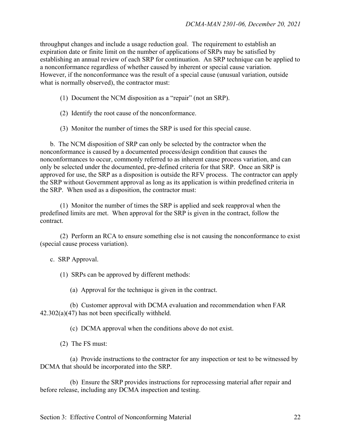throughput changes and include a usage reduction goal. The requirement to establish an expiration date or finite limit on the number of applications of SRPs may be satisfied by establishing an annual review of each SRP for continuation. An SRP technique can be applied to a nonconformance regardless of whether caused by inherent or special cause variation. However, if the nonconformance was the result of a special cause (unusual variation, outside what is normally observed), the contractor must:

- (1) Document the NCM disposition as a "repair" (not an SRP).
- (2) Identify the root cause of the nonconformance.
- (3) Monitor the number of times the SRP is used for this special cause.

 b. The NCM disposition of SRP can only be selected by the contractor when the nonconformance is caused by a documented process/design condition that causes the nonconformances to occur, commonly referred to as inherent cause process variation, and can only be selected under the documented, pre-defined criteria for that SRP. Once an SRP is approved for use, the SRP as a disposition is outside the RFV process. The contractor can apply the SRP without Government approval as long as its application is within predefined criteria in the SRP. When used as a disposition, the contractor must:

 (1) Monitor the number of times the SRP is applied and seek reapproval when the predefined limits are met. When approval for the SRP is given in the contract, follow the contract.

(2) Perform an RCA to ensure something else is not causing the nonconformance to exist (special cause process variation).

c. SRP Approval.

(1) SRPs can be approved by different methods:

(a) Approval for the technique is given in the contract.

 (b) Customer approval with DCMA evaluation and recommendation when FAR  $42.302(a)(47)$  has not been specifically withheld.

(c) DCMA approval when the conditions above do not exist.

(2) The FS must:

 (a) Provide instructions to the contractor for any inspection or test to be witnessed by DCMA that should be incorporated into the SRP.

 (b) Ensure the SRP provides instructions for reprocessing material after repair and before release, including any DCMA inspection and testing.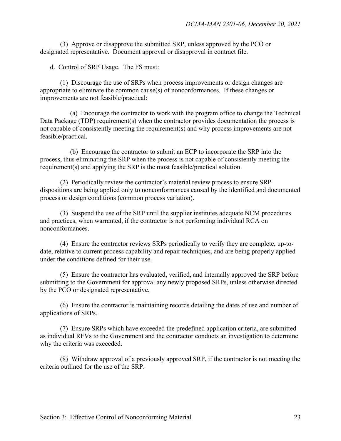(3) Approve or disapprove the submitted SRP, unless approved by the PCO or designated representative. Document approval or disapproval in contract file.

d. Control of SRP Usage.The FS must:

(1) Discourage the use of SRPs when process improvements or design changes are appropriate to eliminate the common cause(s) of nonconformances. If these changes or improvements are not feasible/practical:

 (a) Encourage the contractor to work with the program office to change the Technical Data Package (TDP) requirement(s) when the contractor provides documentation the process is not capable of consistently meeting the requirement(s) and why process improvements are not feasible/practical.

 (b) Encourage the contractor to submit an ECP to incorporate the SRP into the process, thus eliminating the SRP when the process is not capable of consistently meeting the requirement(s) and applying the SRP is the most feasible/practical solution.

 (2) Periodically review the contractor's material review process to ensure SRP dispositions are being applied only to nonconformances caused by the identified and documented process or design conditions (common process variation).

(3) Suspend the use of the SRP until the supplier institutes adequate NCM procedures and practices, when warranted, if the contractor is not performing individual RCA on nonconformances.

 (4) Ensure the contractor reviews SRPs periodically to verify they are complete, up-todate, relative to current process capability and repair techniques, and are being properly applied under the conditions defined for their use.

(5) Ensure the contractor has evaluated, verified, and internally approved the SRP before submitting to the Government for approval any newly proposed SRPs, unless otherwise directed by the PCO or designated representative.

 (6) Ensure the contractor is maintaining records detailing the dates of use and number of applications of SRPs.

 (7) Ensure SRPs which have exceeded the predefined application criteria, are submitted as individual RFVs to the Government and the contractor conducts an investigation to determine why the criteria was exceeded.

 (8) Withdraw approval of a previously approved SRP, if the contractor is not meeting the criteria outlined for the use of the SRP.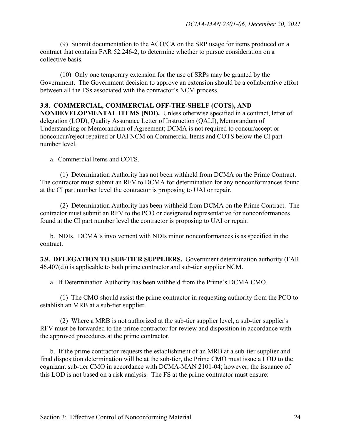(9) Submit documentation to the ACO/CA on the SRP usage for items produced on a contract that contains FAR 52.246-2, to determine whether to pursue consideration on a collective basis.

 (10) Only one temporary extension for the use of SRPs may be granted by the Government. The Government decision to approve an extension should be a collaborative effort between all the FSs associated with the contractor's NCM process.

#### **3.8. COMMERCIAL, COMMERCIAL OFF-THE-SHELF (COTS), AND**

**NONDEVELOPMENTAL ITEMS (NDI).** Unless otherwise specified in a contract, letter of delegation (LOD), Quality Assurance Letter of Instruction (QALI), Memorandum of Understanding or Memorandum of Agreement; DCMA is not required to concur/accept or nonconcur/reject repaired or UAI NCM on Commercial Items and COTS below the CI part number level.

a. Commercial Items and COTS.

 (1) Determination Authority has not been withheld from DCMA on the Prime Contract. The contractor must submit an RFV to DCMA for determination for any nonconformances found at the CI part number level the contractor is proposing to UAI or repair.

 (2) Determination Authority has been withheld from DCMA on the Prime Contract. The contractor must submit an RFV to the PCO or designated representative for nonconformances found at the CI part number level the contractor is proposing to UAI or repair.

 b. NDIs.DCMA's involvement with NDIs minor nonconformances is as specified in the contract.

**3.9. DELEGATION TO SUB-TIER SUPPLIERS.** Government determination authority (FAR 46.407(d)) is applicable to both prime contractor and sub-tier supplier NCM.

a. If Determination Authority has been withheld from the Prime's DCMA CMO.

 (1) The CMO should assist the prime contractor in requesting authority from the PCO to establish an MRB at a sub-tier supplier.

 (2) Where a MRB is not authorized at the sub-tier supplier level, a sub-tier supplier's RFV must be forwarded to the prime contractor for review and disposition in accordance with the approved procedures at the prime contractor.

 b. If the prime contractor requests the establishment of an MRB at a sub-tier supplier and final disposition determination will be at the sub-tier, the Prime CMO must issue a LOD to the cognizant sub-tier CMO in accordance with DCMA-MAN 2101-04; however, the issuance of this LOD is not based on a risk analysis. The FS at the prime contractor must ensure: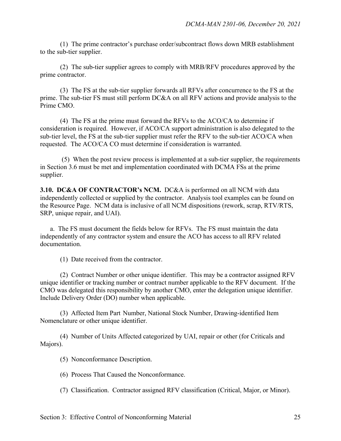(1) The prime contractor's purchase order/subcontract flows down MRB establishment to the sub-tier supplier.

 (2) The sub-tier supplier agrees to comply with MRB/RFV procedures approved by the prime contractor.

 (3) The FS at the sub-tier supplier forwards all RFVs after concurrence to the FS at the prime. The sub-tier FS must still perform DC&A on all RFV actions and provide analysis to the Prime CMO.

 (4) The FS at the prime must forward the RFVs to the ACO/CA to determine if consideration is required. However, if ACO/CA support administration is also delegated to the sub-tier level, the FS at the sub-tier supplier must refer the RFV to the sub-tier ACO/CA when requested. The ACO/CA CO must determine if consideration is warranted.

 (5) When the post review process is implemented at a sub-tier supplier, the requirements in Section 3.6 must be met and implementation coordinated with DCMA FSs at the prime supplier.

**3.10. DC&A OF CONTRACTOR's NCM.** DC&A is performed on all NCM with data independently collected or supplied by the contractor. Analysis tool examples can be found on the Resource Page. NCM data is inclusive of all NCM dispositions (rework, scrap, RTV/RTS, SRP, unique repair, and UAI).

 a. The FS must document the fields below for RFVs. The FS must maintain the data independently of any contractor system and ensure the ACO has access to all RFV related documentation.

(1) Date received from the contractor.

(2) Contract Number or other unique identifier. This may be a contractor assigned RFV unique identifier or tracking number or contract number applicable to the RFV document. If the CMO was delegated this responsibility by another CMO, enter the delegation unique identifier. Include Delivery Order (DO) number when applicable.

 (3) Affected Item Part Number, National Stock Number, Drawing-identified Item Nomenclature or other unique identifier.

(4) Number of Units Affected categorized by UAI, repair or other (for Criticals and Majors).

(5) Nonconformance Description.

(6) Process That Caused the Nonconformance.

(7) Classification.Contractor assigned RFV classification (Critical, Major, or Minor).

Section 3: Effective Control of Nonconforming Material 25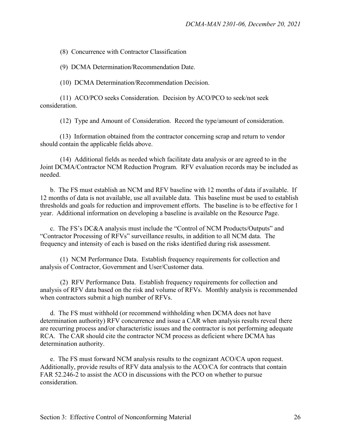(8) Concurrence with Contractor Classification

(9) DCMA Determination/Recommendation Date.

(10) DCMA Determination/Recommendation Decision.

(11) ACO/PCO seeks Consideration. Decision by ACO/PCO to seek/not seek consideration.

(12) Type and Amount of Consideration.Record the type/amount of consideration.

 (13) Information obtained from the contractor concerning scrap and return to vendor should contain the applicable fields above.

 (14) Additional fields as needed which facilitate data analysis or are agreed to in the Joint DCMA/Contractor NCM Reduction Program. RFV evaluation records may be included as needed.

 b. The FS must establish an NCM and RFV baseline with 12 months of data if available. If 12 months of data is not available, use all available data. This baseline must be used to establish thresholds and goals for reduction and improvement efforts. The baseline is to be effective for 1 year. Additional information on developing a baseline is available on the Resource Page.

 c. The FS's DC&A analysis must include the "Control of NCM Products/Outputs" and "Contractor Processing of RFVs" surveillance results, in addition to all NCM data. The frequency and intensity of each is based on the risks identified during risk assessment.

 (1) NCM Performance Data. Establish frequency requirements for collection and analysis of Contractor, Government and User/Customer data.

 (2) RFV Performance Data.Establish frequency requirements for collection and analysis of RFV data based on the risk and volume of RFVs. Monthly analysis is recommended when contractors submit a high number of RFVs.

 d. The FS must withhold (or recommend withholding when DCMA does not have determination authority) RFV concurrence and issue a CAR when analysis results reveal there are recurring process and/or characteristic issues and the contractor is not performing adequate RCA. The CAR should cite the contractor NCM process as deficient where DCMA has determination authority.

 e. The FS must forward NCM analysis results to the cognizant ACO/CA upon request. Additionally, provide results of RFV data analysis to the ACO/CA for contracts that contain FAR 52.246-2 to assist the ACO in discussions with the PCO on whether to pursue consideration.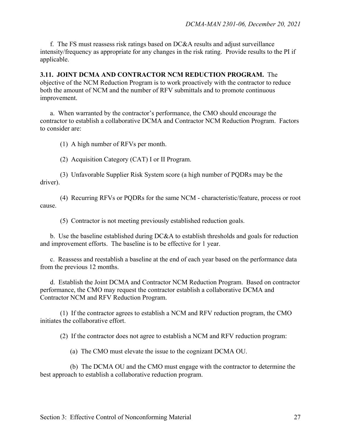f. The FS must reassess risk ratings based on DC&A results and adjust surveillance intensity/frequency as appropriate for any changes in the risk rating. Provide results to the PI if applicable.

**3.11. JOINT DCMA AND CONTRACTOR NCM REDUCTION PROGRAM.** The objective of the NCM Reduction Program is to work proactively with the contractor to reduce both the amount of NCM and the number of RFV submittals and to promote continuous improvement.

a.When warranted by the contractor's performance, the CMO should encourage the contractor to establish a collaborative DCMA and Contractor NCM Reduction Program. Factors to consider are:

(1) A high number of RFVs per month.

(2) Acquisition Category (CAT) I or II Program.

 (3) Unfavorable Supplier Risk System score (a high number of PQDRs may be the driver).

 (4) Recurring RFVs or PQDRs for the same NCM - characteristic/feature, process or root cause.

(5) Contractor is not meeting previously established reduction goals.

b. Use the baseline established during DC&A to establish thresholds and goals for reduction and improvement efforts. The baseline is to be effective for 1 year.

 c. Reassess and reestablish a baseline at the end of each year based on the performance data from the previous 12 months.

d. Establish the Joint DCMA and Contractor NCM Reduction Program. Based on contractor performance, the CMO may request the contractor establish a collaborative DCMA and Contractor NCM and RFV Reduction Program.

 (1) If the contractor agrees to establish a NCM and RFV reduction program, the CMO initiates the collaborative effort.

(2) If the contractor does not agree to establish a NCM and RFV reduction program:

(a) The CMO must elevate the issue to the cognizant DCMA OU.

(b) The DCMA OU and the CMO must engage with the contractor to determine the best approach to establish a collaborative reduction program.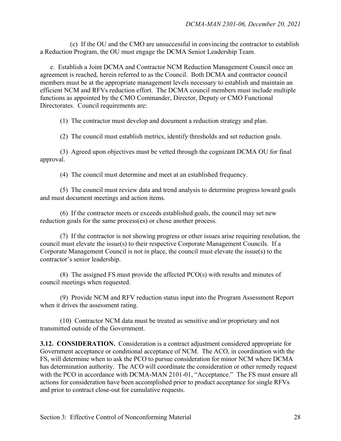(c) If the OU and the CMO are unsuccessful in convincing the contractor to establish a Reduction Program, the OU must engage the DCMA Senior Leadership Team.

 e. Establish a Joint DCMA and Contractor NCM Reduction Management Council once an agreement is reached, herein referred to as the Council. Both DCMA and contractor council members must be at the appropriate management levels necessary to establish and maintain an efficient NCM and RFVs reduction effort. The DCMA council members must include multiple functions as appointed by the CMO Commander, Director, Deputy or CMO Functional Directorates. Council requirements are:

(1) The contractor must develop and document a reduction strategy and plan.

(2) The council must establish metrics, identify thresholds and set reduction goals.

 (3) Agreed upon objectives must be vetted through the cognizant DCMA OU for final approval.

(4) The council must determine and meet at an established frequency.

 (5) The council must review data and trend analysis to determine progress toward goals and must document meetings and action items.

 (6) If the contractor meets or exceeds established goals, the council may set new reduction goals for the same process(es) or chose another process.

 (7) If the contractor is not showing progress or other issues arise requiring resolution, the council must elevate the issue(s) to their respective Corporate Management Councils. If a Corporate Management Council is not in place, the council must elevate the issue(s) to the contractor's senior leadership.

 (8) The assigned FS must provide the affected PCO(s) with results and minutes of council meetings when requested.

 (9) Provide NCM and RFV reduction status input into the Program Assessment Report when it drives the assessment rating.

 (10) Contractor NCM data must be treated as sensitive and/or proprietary and not transmitted outside of the Government.

**3.12. CONSIDERATION.** Consideration is a contract adjustment considered appropriate for Government acceptance or conditional acceptance of NCM. The ACO, in coordination with the FS, will determine when to ask the PCO to pursue consideration for minor NCM where DCMA has determination authority. The ACO will coordinate the consideration or other remedy request with the PCO in accordance with DCMA-MAN 2101-01, "Acceptance." The FS must ensure all actions for consideration have been accomplished prior to product acceptance for single RFVs and prior to contract close-out for cumulative requests.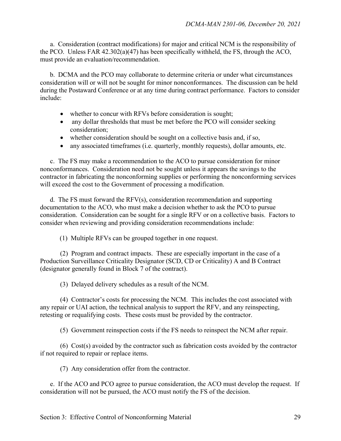a. Consideration (contract modifications) for major and critical NCM is the responsibility of the PCO. Unless FAR 42.302(a)(47) has been specifically withheld, the FS, through the ACO, must provide an evaluation/recommendation.

 b. DCMA and the PCO may collaborate to determine criteria or under what circumstances consideration will or will not be sought for minor nonconformances. The discussion can be held during the Postaward Conference or at any time during contract performance. Factors to consider include:

- whether to concur with RFVs before consideration is sought;
- any dollar thresholds that must be met before the PCO will consider seeking consideration;
- whether consideration should be sought on a collective basis and, if so,
- any associated timeframes (i.e. quarterly, monthly requests), dollar amounts, etc.

 c. The FS may make a recommendation to the ACO to pursue consideration for minor nonconformances. Consideration need not be sought unless it appears the savings to the contractor in fabricating the nonconforming supplies or performing the nonconforming services will exceed the cost to the Government of processing a modification.

 d. The FS must forward the RFV(s), consideration recommendation and supporting documentation to the ACO, who must make a decision whether to ask the PCO to pursue consideration. Consideration can be sought for a single RFV or on a collective basis. Factors to consider when reviewing and providing consideration recommendations include:

(1) Multiple RFVs can be grouped together in one request.

 (2) Program and contract impacts. These are especially important in the case of a Production Surveillance Criticality Designator (SCD, CD or Criticality) A and B Contract (designator generally found in Block 7 of the contract).

(3) Delayed delivery schedules as a result of the NCM.

 (4) Contractor's costs for processing the NCM. This includes the cost associated with any repair or UAI action, the technical analysis to support the RFV, and any reinspecting, retesting or requalifying costs. These costs must be provided by the contractor.

(5) Government reinspection costs if the FS needs to reinspect the NCM after repair.

 (6) Cost(s) avoided by the contractor such as fabrication costs avoided by the contractor if not required to repair or replace items.

(7) Any consideration offer from the contractor.

 e. If the ACO and PCO agree to pursue consideration, the ACO must develop the request. If consideration will not be pursued, the ACO must notify the FS of the decision.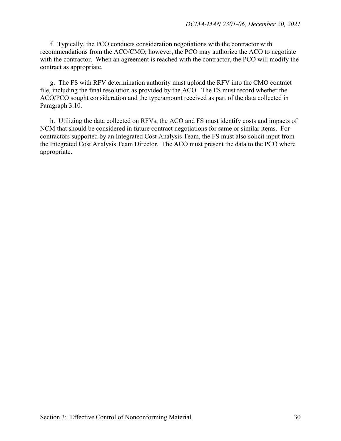f. Typically, the PCO conducts consideration negotiations with the contractor with recommendations from the ACO/CMO; however, the PCO may authorize the ACO to negotiate with the contractor. When an agreement is reached with the contractor, the PCO will modify the contract as appropriate.

g. The FS with RFV determination authority must upload the RFV into the CMO contract file, including the final resolution as provided by the ACO. The FS must record whether the ACO/PCO sought consideration and the type/amount received as part of the data collected in Paragraph 3.10.

 h. Utilizing the data collected on RFVs, the ACO and FS must identify costs and impacts of NCM that should be considered in future contract negotiations for same or similar items. For contractors supported by an Integrated Cost Analysis Team, the FS must also solicit input from the Integrated Cost Analysis Team Director. The ACO must present the data to the PCO where appropriate.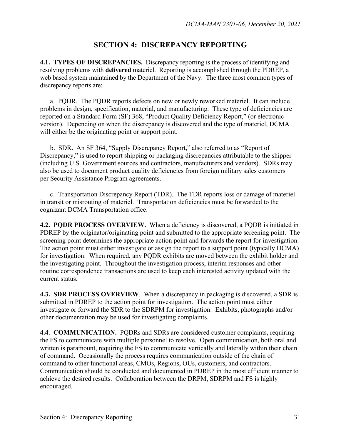## **SECTION 4: DISCREPANCY REPORTING**

**4.1. TYPES OF DISCREPANCIES.** Discrepancy reporting is the process of identifying and resolving problems with **delivered** materiel. Reporting is accomplished through the PDREP, a web based system maintained by the Department of the Navy. The three most common types of discrepancy reports are:

a. PQDR. The PQDR reports defects on new or newly reworked materiel. It can include problems in design, specification, material, and manufacturing. These type of deficiencies are reported on a Standard Form (SF) 368, "Product Quality Deficiency Report," (or electronic version). Depending on when the discrepancy is discovered and the type of materiel, DCMA will either be the originating point or support point.

 b. SDR**.** An SF 364, "Supply Discrepancy Report," also referred to as "Report of Discrepancy," is used to report shipping or packaging discrepancies attributable to the shipper (including U.S. Government sources and contractors, manufacturers and vendors). SDRs may also be used to document product quality deficiencies from foreign military sales customers per Security Assistance Program agreements.

 c. Transportation Discrepancy Report (TDR). The TDR reports loss or damage of materiel in transit or misrouting of materiel. Transportation deficiencies must be forwarded to the cognizant DCMA Transportation office.

**4.2. PQDR PROCESS OVERVIEW.** When a deficiency is discovered, a PQDR is initiated in PDREP by the originator/originating point and submitted to the appropriate screening point. The screening point determines the appropriate action point and forwards the report for investigation. The action point must either investigate or assign the report to a support point (typically DCMA) for investigation. When required, any PQDR exhibits are moved between the exhibit holder and the investigating point. Throughout the investigation process, interim responses and other routine correspondence transactions are used to keep each interested activity updated with the current status.

**4.3. SDR PROCESS OVERVIEW**. When a discrepancy in packaging is discovered, a SDR is submitted in PDREP to the action point for investigation. The action point must either investigate or forward the SDR to the SDRPM for investigation. Exhibits, photographs and/or other documentation may be used for investigating complaints.

**4.4**. **COMMUNICATION.** PQDRs and SDRs are considered customer complaints, requiring the FS to communicate with multiple personnel to resolve. Open communication, both oral and written is paramount, requiring the FS to communicate vertically and laterally within their chain of command. Occasionally the process requires communication outside of the chain of command to other functional areas, CMOs, Regions, OUs, customers, and contractors. Communication should be conducted and documented in PDREP in the most efficient manner to achieve the desired results. Collaboration between the DRPM, SDRPM and FS is highly encouraged.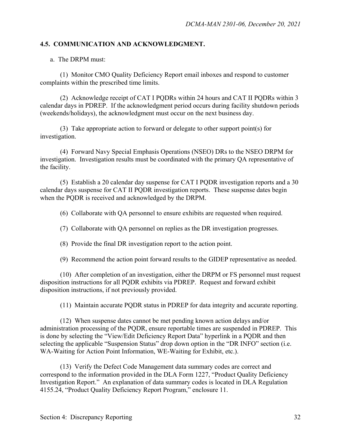## **4.5. COMMUNICATION AND ACKNOWLEDGMENT.**

a. The DRPM must:

 (1) Monitor CMO Quality Deficiency Report email inboxes and respond to customer complaints within the prescribed time limits.

 (2) Acknowledge receipt of CAT I PQDRs within 24 hours and CAT II PQDRs within 3 calendar days in PDREP. If the acknowledgment period occurs during facility shutdown periods (weekends/holidays), the acknowledgment must occur on the next business day.

 (3) Take appropriate action to forward or delegate to other support point(s) for investigation.

 (4) Forward Navy Special Emphasis Operations (NSEO) DRs to the NSEO DRPM for investigation. Investigation results must be coordinated with the primary QA representative of the facility.

 (5) Establish a 20 calendar day suspense for CAT I PQDR investigation reports and a 30 calendar days suspense for CAT II PQDR investigation reports. These suspense dates begin when the PQDR is received and acknowledged by the DRPM.

(6) Collaborate with QA personnel to ensure exhibits are requested when required.

(7) Collaborate with QA personnel on replies as the DR investigation progresses.

(8) Provide the final DR investigation report to the action point.

(9) Recommend the action point forward results to the GIDEP representative as needed.

 (10) After completion of an investigation, either the DRPM or FS personnel must request disposition instructions for all PQDR exhibits via PDREP. Request and forward exhibit disposition instructions, if not previously provided.

(11) Maintain accurate PQDR status in PDREP for data integrity and accurate reporting.

 (12) When suspense dates cannot be met pending known action delays and/or administration processing of the PQDR, ensure reportable times are suspended in PDREP. This is done by selecting the "View/Edit Deficiency Report Data" hyperlink in a PQDR and then selecting the applicable "Suspension Status" drop down option in the "DR INFO" section (i.e. WA-Waiting for Action Point Information, WE-Waiting for Exhibit, etc.).

 (13) Verify the Defect Code Management data summary codes are correct and correspond to the information provided in the DLA Form 1227, "Product Quality Deficiency Investigation Report." An explanation of data summary codes is located in DLA Regulation 4155.24, "Product Quality Deficiency Report Program," enclosure 11.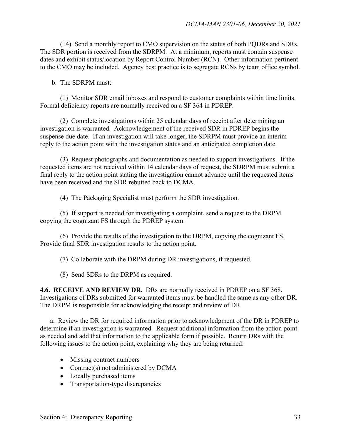(14) Send a monthly report to CMO supervision on the status of both PQDRs and SDRs. The SDR portion is received from the SDRPM. At a minimum, reports must contain suspense dates and exhibit status/location by Report Control Number (RCN). Other information pertinent to the CMO may be included. Agency best practice is to segregate RCNs by team office symbol.

b. The SDRPM must:

 (1) Monitor SDR email inboxes and respond to customer complaints within time limits. Formal deficiency reports are normally received on a SF 364 in PDREP.

 (2) Complete investigations within 25 calendar days of receipt after determining an investigation is warranted. Acknowledgement of the received SDR in PDREP begins the suspense due date. If an investigation will take longer, the SDRPM must provide an interim reply to the action point with the investigation status and an anticipated completion date.

 (3) Request photographs and documentation as needed to support investigations. If the requested items are not received within 14 calendar days of request, the SDRPM must submit a final reply to the action point stating the investigation cannot advance until the requested items have been received and the SDR rebutted back to DCMA.

(4) The Packaging Specialist must perform the SDR investigation.

 (5) If support is needed for investigating a complaint, send a request to the DRPM copying the cognizant FS through the PDREP system.

 (6) Provide the results of the investigation to the DRPM, copying the cognizant FS. Provide final SDR investigation results to the action point.

(7) Collaborate with the DRPM during DR investigations, if requested.

(8) Send SDRs to the DRPM as required.

**4.6. RECEIVE AND REVIEW DR.** DRs are normally received in PDREP on a SF 368. Investigations of DRs submitted for warranted items must be handled the same as any other DR. The DRPM is responsible for acknowledging the receipt and review of DR.

 a. Review the DR for required information prior to acknowledgment of the DR in PDREP to determine if an investigation is warranted. Request additional information from the action point as needed and add that information to the applicable form if possible. Return DRs with the following issues to the action point, explaining why they are being returned:

- Missing contract numbers
- Contract(s) not administered by DCMA
- Locally purchased items
- Transportation-type discrepancies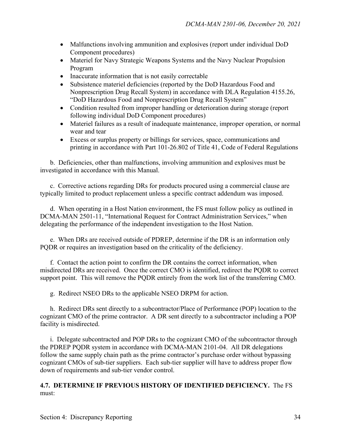- Malfunctions involving ammunition and explosives (report under individual DoD Component procedures)
- Materiel for Navy Strategic Weapons Systems and the Navy Nuclear Propulsion Program
- Inaccurate information that is not easily correctable
- Subsistence materiel deficiencies (reported by the DoD Hazardous Food and Nonprescription Drug Recall System) in accordance with DLA Regulation 4155.26, "DoD Hazardous Food and Nonprescription Drug Recall System"
- Condition resulted from improper handling or deterioration during storage (report following individual DoD Component procedures)
- Materiel failures as a result of inadequate maintenance, improper operation, or normal wear and tear
- Excess or surplus property or billings for services, space, communications and printing in accordance with Part 101-26.802 of Title 41, Code of Federal Regulations

b. Deficiencies, other than malfunctions, involving ammunition and explosives must be investigated in accordance with this Manual.

c. Corrective actions regarding DRs for products procured using a commercial clause are typically limited to product replacement unless a specific contract addendum was imposed.

d. When operating in a Host Nation environment, the FS must follow policy as outlined in DCMA-MAN 2501-11, "International Request for Contract Administration Services," when delegating the performance of the independent investigation to the Host Nation.

e. When DRs are received outside of PDREP, determine if the DR is an information only PQDR or requires an investigation based on the criticality of the deficiency.

f. Contact the action point to confirm the DR contains the correct information, when misdirected DRs are received. Once the correct CMO is identified, redirect the PQDR to correct support point. This will remove the PQDR entirely from the work list of the transferring CMO.

g. Redirect NSEO DRs to the applicable NSEO DRPM for action.

h. Redirect DRs sent directly to a subcontractor/Place of Performance (POP) location to the cognizant CMO of the prime contractor. A DR sent directly to a subcontractor including a POP facility is misdirected.

i. Delegate subcontracted and POP DRs to the cognizant CMO of the subcontractor through the PDREP PQDR system in accordance with DCMA-MAN 2101-04. All DR delegations follow the same supply chain path as the prime contractor's purchase order without bypassing cognizant CMOs of sub-tier suppliers. Each sub-tier supplier will have to address proper flow down of requirements and sub-tier vendor control.

**4.7. DETERMINE IF PREVIOUS HISTORY OF IDENTIFIED DEFICIENCY.** The FS must: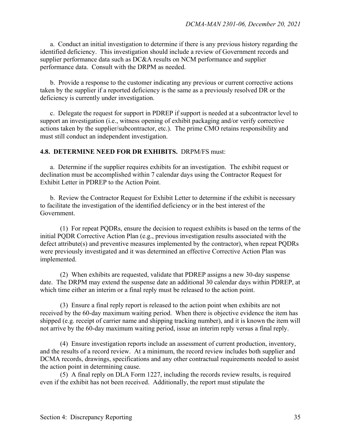a. Conduct an initial investigation to determine if there is any previous history regarding the identified deficiency. This investigation should include a review of Government records and supplier performance data such as DC&A results on NCM performance and supplier performance data. Consult with the DRPM as needed.

b. Provide a response to the customer indicating any previous or current corrective actions taken by the supplier if a reported deficiency is the same as a previously resolved DR or the deficiency is currently under investigation.

 c. Delegate the request for support in PDREP if support is needed at a subcontractor level to support an investigation (i.e., witness opening of exhibit packaging and/or verify corrective actions taken by the supplier/subcontractor, etc.). The prime CMO retains responsibility and must still conduct an independent investigation.

## **4.8. DETERMINE NEED FOR DR EXHIBITS.** DRPM/FS must:

a. Determine if the supplier requires exhibits for an investigation. The exhibit request or declination must be accomplished within 7 calendar days using the Contractor Request for Exhibit Letter in PDREP to the Action Point.

 b. Review the Contractor Request for Exhibit Letter to determine if the exhibit is necessary to facilitate the investigation of the identified deficiency or in the best interest of the Government.

 (1) For repeat PQDRs, ensure the decision to request exhibits is based on the terms of the initial PQDR Corrective Action Plan (e.g., previous investigation results associated with the defect attribute(s) and preventive measures implemented by the contractor), when repeat PQDRs were previously investigated and it was determined an effective Corrective Action Plan was implemented.

 (2) When exhibits are requested, validate that PDREP assigns a new 30-day suspense date. The DRPM may extend the suspense date an additional 30 calendar days within PDREP, at which time either an interim or a final reply must be released to the action point.

 (3) Ensure a final reply report is released to the action point when exhibits are not received by the 60-day maximum waiting period. When there is objective evidence the item has shipped (e.g. receipt of carrier name and shipping tracking number), and it is known the item will not arrive by the 60-day maximum waiting period, issue an interim reply versus a final reply.

 (4) Ensure investigation reports include an assessment of current production, inventory, and the results of a record review. At a minimum, the record review includes both supplier and DCMA records, drawings, specifications and any other contractual requirements needed to assist the action point in determining cause.

 (5) A final reply on DLA Form 1227, including the records review results, is required even if the exhibit has not been received. Additionally, the report must stipulate the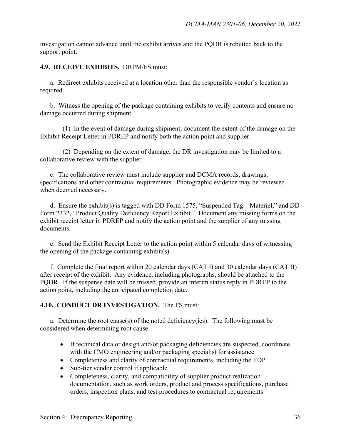investigation cannot advance until the exhibit arrives and the PQDR is rebutted back to the support point.

**4.9. RECEIVE EXHIBITS.** DRPM/FS must:

a. Redirect exhibits received at a location other than the responsible vendor's location as required.

b. Witness the opening of the package containing exhibits to verify contents and ensure no damage occurred during shipment.

(1) In the event of damage during shipment, document the extent of the damage on the Exhibit Receipt Letter in PDREP and notify both the action point and supplier.

(2) Depending on the extent of damage, the DR investigation may be limited to a collaborative review with the supplier.

c. The collaborative review must include supplier and DCMA records, drawings, specifications and other contractual requirements. Photographic evidence may be reviewed when deemed necessary.

d. Ensure the exhibit(s) is tagged with DD Form 1575, "Suspended Tag – Materiel," and DD Form 2332, "Product Quality Deficiency Report Exhibit." Document any missing forms on the exhibit receipt letter in PDREP and notify the action point and the supplier of any missing documents.

e. Send the Exhibit Receipt Letter to the action point within 5 calendar days of witnessing the opening of the package containing exhibit(s).

f. Complete the final report within 20 calendar days (CAT I) and 30 calendar days (CAT II) after receipt of the exhibit. Any evidence, including photographs, should be attached to the PQDR. If the suspense date will be missed, provide an interim status reply in PDREP to the action point, including the anticipated completion date.

## **4.10. CONDUCT DR INVESTIGATION.**The FS must:

 a. Determine the root cause(s) of the noted deficiency(ies). The following must be considered when determining root cause:

- If technical data or design and/or packaging deficiencies are suspected, coordinate with the CMO engineering and/or packaging specialist for assistance
- Completeness and clarity of contractual requirements, including the TDP
- Sub-tier vendor control if applicable
- Completeness, clarity, and compatibility of supplier product realization documentation, such as work orders, product and process specifications, purchase orders, inspection plans, and test procedures to contractual requirements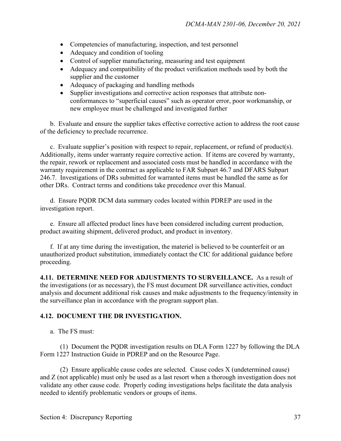- Competencies of manufacturing, inspection, and test personnel
- Adequacy and condition of tooling
- Control of supplier manufacturing, measuring and test equipment
- Adequacy and compatibility of the product verification methods used by both the supplier and the customer
- Adequacy of packaging and handling methods
- Supplier investigations and corrective action responses that attribute nonconformances to "superficial causes" such as operator error, poor workmanship, or new employee must be challenged and investigated further

 b. Evaluate and ensure the supplier takes effective corrective action to address the root cause of the deficiency to preclude recurrence.

 c. Evaluate supplier's position with respect to repair, replacement, or refund of product(s). Additionally, items under warranty require corrective action. If items are covered by warranty, the repair, rework or replacement and associated costs must be handled in accordance with the warranty requirement in the contract as applicable to FAR Subpart 46.7 and DFARS Subpart 246.7. Investigations of DRs submitted for warranted items must be handled the same as for other DRs. Contract terms and conditions take precedence over this Manual.

 d. Ensure PQDR DCM data summary codes located within PDREP are used in the investigation report.

 e. Ensure all affected product lines have been considered including current production, product awaiting shipment, delivered product, and product in inventory.

 f. If at any time during the investigation, the materiel is believed to be counterfeit or an unauthorized product substitution, immediately contact the CIC for additional guidance before proceeding.

**4.11. DETERMINE NEED FOR ADJUSTMENTS TO SURVEILLANCE.** As a result of the investigations (or as necessary), the FS must document DR surveillance activities, conduct analysis and document additional risk causes and make adjustments to the frequency/intensity in the surveillance plan in accordance with the program support plan.

## **4.12. DOCUMENT THE DR INVESTIGATION.**

a. The FS must:

 (1) Document the PQDR investigation results on DLA Form 1227 by following the DLA Form 1227 Instruction Guide in PDREP and on the Resource Page.

 (2) Ensure applicable cause codes are selected. Cause codes X (undetermined cause) and Z (not applicable) must only be used as a last resort when a thorough investigation does not validate any other cause code. Properly coding investigations helps facilitate the data analysis needed to identify problematic vendors or groups of items.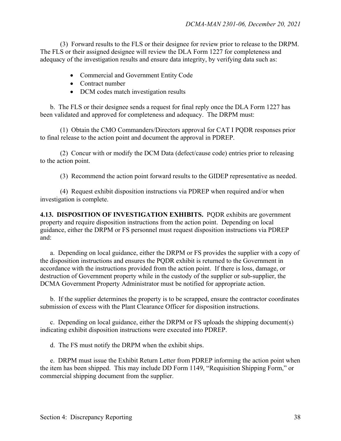(3) Forward results to the FLS or their designee for review prior to release to the DRPM. The FLS or their assigned designee will review the DLA Form 1227 for completeness and adequacy of the investigation results and ensure data integrity, by verifying data such as:

- Commercial and Government Entity Code
- Contract number
- DCM codes match investigation results

b. The FLS or their designee sends a request for final reply once the DLA Form 1227 has been validated and approved for completeness and adequacy. The DRPM must:

(1) Obtain the CMO Commanders/Directors approval for CAT I PQDR responses prior to final release to the action point and document the approval in PDREP.

(2) Concur with or modify the DCM Data (defect/cause code) entries prior to releasing to the action point.

(3) Recommend the action point forward results to the GIDEP representative as needed.

(4) Request exhibit disposition instructions via PDREP when required and/or when investigation is complete.

**4.13. DISPOSITION OF INVESTIGATION EXHIBITS.** PQDR exhibits are government property and require disposition instructions from the action point. Depending on local guidance, either the DRPM or FS personnel must request disposition instructions via PDREP and:

a. Depending on local guidance, either the DRPM or FS provides the supplier with a copy of the disposition instructions and ensures the PQDR exhibit is returned to the Government in accordance with the instructions provided from the action point. If there is loss, damage, or destruction of Government property while in the custody of the supplier or sub-supplier, the DCMA Government Property Administrator must be notified for appropriate action.

b. If the supplier determines the property is to be scrapped, ensure the contractor coordinates submission of excess with the Plant Clearance Officer for disposition instructions.

c. Depending on local guidance, either the DRPM or FS uploads the shipping document(s) indicating exhibit disposition instructions were executed into PDREP.

d. The FS must notify the DRPM when the exhibit ships.

e. DRPM must issue the Exhibit Return Letter from PDREP informing the action point when the item has been shipped. This may include DD Form 1149, "Requisition Shipping Form," or commercial shipping document from the supplier.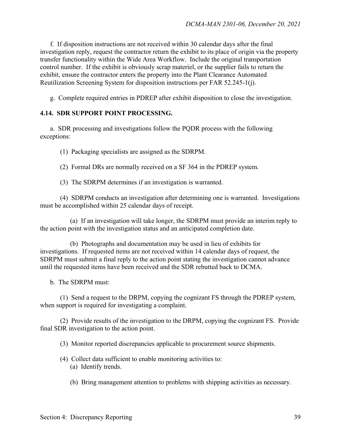f. If disposition instructions are not received within 30 calendar days after the final investigation reply, request the contractor return the exhibit to its place of origin via the property transfer functionality within the Wide Area Workflow. Include the original transportation control number. If the exhibit is obviously scrap materiel, or the supplier fails to return the exhibit, ensure the contractor enters the property into the Plant Clearance Automated Reutilization Screening System for disposition instructions per FAR 52.245-1(j).

g. Complete required entries in PDREP after exhibit disposition to close the investigation.

## **4.14. SDR SUPPORT POINT PROCESSING.**

a. SDR processing and investigations follow the PQDR process with the following exceptions:

(1) Packaging specialists are assigned as the SDRPM.

(2) Formal DRs are normally received on a SF 364 in the PDREP system.

(3) The SDRPM determines if an investigation is warranted.

(4) SDRPM conducts an investigation after determining one is warranted. Investigations must be accomplished within 25 calendar days of receipt.

(a) If an investigation will take longer, the SDRPM must provide an interim reply to the action point with the investigation status and an anticipated completion date.

 (b) Photographs and documentation may be used in lieu of exhibits for investigations. If requested items are not received within 14 calendar days of request, the SDRPM must submit a final reply to the action point stating the investigation cannot advance until the requested items have been received and the SDR rebutted back to DCMA.

b. The SDRPM must:

 (1) Send a request to the DRPM, copying the cognizant FS through the PDREP system, when support is required for investigating a complaint.

 (2) Provide results of the investigation to the DRPM, copying the cognizant FS. Provide final SDR investigation to the action point.

(3) Monitor reported discrepancies applicable to procurement source shipments.

- (4) Collect data sufficient to enable monitoring activities to:
	- (a) Identify trends.
	- (b) Bring management attention to problems with shipping activities as necessary.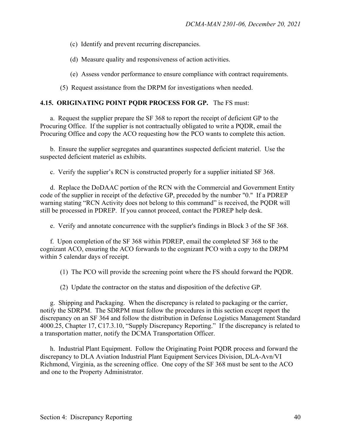(c) Identify and prevent recurring discrepancies.

(d) Measure quality and responsiveness of action activities.

(e) Assess vendor performance to ensure compliance with contract requirements.

(5) Request assistance from the DRPM for investigations when needed.

#### **4.15. ORIGINATING POINT PQDR PROCESS FOR GP.** The FS must:

 a. Request the supplier prepare the SF 368 to report the receipt of deficient GP to the Procuring Office. If the supplier is not contractually obligated to write a PQDR, email the Procuring Office and copy the ACO requesting how the PCO wants to complete this action.

b. Ensure the supplier segregates and quarantines suspected deficient materiel. Use the suspected deficient materiel as exhibits.

c. Verify the supplier's RCN is constructed properly for a supplier initiated SF 368.

d. Replace the DoDAAC portion of the RCN with the Commercial and Government Entity code of the supplier in receipt of the defective GP, preceded by the number "0." If a PDREP warning stating "RCN Activity does not belong to this command" is received, the PQDR will still be processed in PDREP. If you cannot proceed, contact the PDREP help desk.

e. Verify and annotate concurrence with the supplier's findings in Block 3 of the SF 368.

f. Upon completion of the SF 368 within PDREP, email the completed SF 368 to the cognizant ACO, ensuring the ACO forwards to the cognizant PCO with a copy to the DRPM within 5 calendar days of receipt.

(1) The PCO will provide the screening point where the FS should forward the PQDR.

(2) Update the contractor on the status and disposition of the defective GP.

 g. Shipping and Packaging. When the discrepancy is related to packaging or the carrier, notify the SDRPM. The SDRPM must follow the procedures in this section except report the discrepancy on an SF 364 and follow the distribution in Defense Logistics Management Standard 4000.25, Chapter 17, C17.3.10, "Supply Discrepancy Reporting." If the discrepancy is related to a transportation matter, notify the DCMA Transportation Officer.

 h. Industrial Plant Equipment. Follow the Originating Point PQDR process and forward the discrepancy to DLA Aviation Industrial Plant Equipment Services Division, DLA-Avn/VI Richmond, Virginia, as the screening office. One copy of the SF 368 must be sent to the ACO and one to the Property Administrator.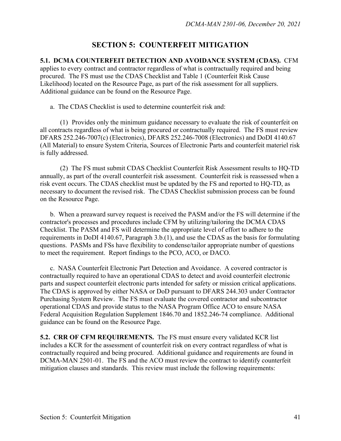## **SECTION 5: COUNTERFEIT MITIGATION**

**5.1. DCMA COUNTERFEIT DETECTION AND AVOIDANCE SYSTEM (CDAS).** CFM

applies to every contract and contractor regardless of what is contractually required and being procured. The FS must use the CDAS Checklist and Table 1 (Counterfeit Risk Cause Likelihood) located on the Resource Page, as part of the risk assessment for all suppliers. Additional guidance can be found on the Resource Page.

a. The CDAS Checklist is used to determine counterfeit risk and:

 (1) Provides only the minimum guidance necessary to evaluate the risk of counterfeit on all contracts regardless of what is being procured or contractually required. The FS must review DFARS 252.246-7007(c) (Electronics), DFARS 252.246-7008 (Electronics) and DoDI 4140.67 (All Material) to ensure System Criteria, Sources of Electronic Parts and counterfeit materiel risk is fully addressed.

 (2) The FS must submit CDAS Checklist Counterfeit Risk Assessment results to HQ-TD annually, as part of the overall counterfeit risk assessment. Counterfeit risk is reassessed when a risk event occurs. The CDAS checklist must be updated by the FS and reported to HQ-TD, as necessary to document the revised risk. The CDAS Checklist submission process can be found on the Resource Page.

 b. When a preaward survey request is received the PASM and/or the FS will determine if the contractor's processes and procedures include CFM by utilizing/tailoring the DCMA CDAS Checklist. The PASM and FS will determine the appropriate level of effort to adhere to the requirements in DoDI 4140.67, Paragraph 3.b.(1), and use the CDAS as the basis for formulating questions. PASMs and FSs have flexibility to condense/tailor appropriate number of questions to meet the requirement. Report findings to the PCO, ACO, or DACO.

 c. NASA Counterfeit Electronic Part Detection and Avoidance. A covered contractor is contractually required to have an operational CDAS to detect and avoid counterfeit electronic parts and suspect counterfeit electronic parts intended for safety or mission critical applications. The CDAS is approved by either NASA or DoD pursuant to DFARS 244.303 under Contractor Purchasing System Review. The FS must evaluate the covered contractor and subcontractor operational CDAS and provide status to the NASA Program Office ACO to ensure NASA Federal Acquisition Regulation Supplement 1846.70 and 1852.246-74 compliance. Additional guidance can be found on the Resource Page.

**5.2. CRR OF CFM REQUIREMENTS.** The FS must ensure every validated KCR list includes a KCR for the assessment of counterfeit risk on every contract regardless of what is contractually required and being procured. Additional guidance and requirements are found in DCMA-MAN 2501-01. The FS and the ACO must review the contract to identify counterfeit mitigation clauses and standards. This review must include the following requirements: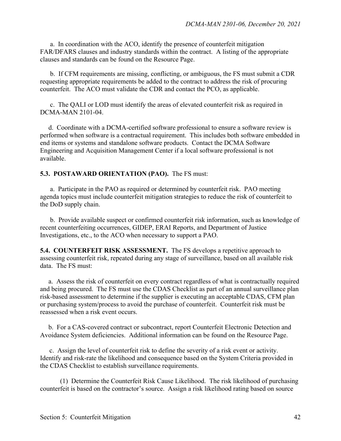a. In coordination with the ACO, identify the presence of counterfeit mitigation FAR/DFARS clauses and industry standards within the contract. A listing of the appropriate clauses and standards can be found on the Resource Page.

 b. If CFM requirements are missing, conflicting, or ambiguous, the FS must submit a CDR requesting appropriate requirements be added to the contract to address the risk of procuring counterfeit. The ACO must validate the CDR and contact the PCO, as applicable.

 c. The QALI or LOD must identify the areas of elevated counterfeit risk as required in DCMA-MAN 2101-04.

 d. Coordinate with a DCMA-certified software professional to ensure a software review is performed when software is a contractual requirement. This includes both software embedded in end items or systems and standalone software products. Contact the DCMA Software Engineering and Acquisition Management Center if a local software professional is not available.

#### **5.3. POSTAWARD ORIENTATION (PAO).** The FS must:

 a. Participate in the PAO as required or determined by counterfeit risk. PAO meeting agenda topics must include counterfeit mitigation strategies to reduce the risk of counterfeit to the DoD supply chain.

 b. Provide available suspect or confirmed counterfeit risk information, such as knowledge of recent counterfeiting occurrences, GIDEP, ERAI Reports, and Department of Justice Investigations, etc., to the ACO when necessary to support a PAO.

**5.4. COUNTERFEIT RISK ASSESSMENT.** The FS develops a repetitive approach to assessing counterfeit risk, repeated during any stage of surveillance, based on all available risk data. The FS must:

 a. Assess the risk of counterfeit on every contract regardless of what is contractually required and being procured. The FS must use the CDAS Checklist as part of an annual surveillance plan risk-based assessment to determine if the supplier is executing an acceptable CDAS, CFM plan or purchasing system/process to avoid the purchase of counterfeit. Counterfeit risk must be reassessed when a risk event occurs.

 b. For a CAS-covered contract or subcontract, report Counterfeit Electronic Detection and Avoidance System deficiencies. Additional information can be found on the Resource Page.

 c. Assign the level of counterfeit risk to define the severity of a risk event or activity. Identify and risk-rate the likelihood and consequence based on the System Criteria provided in the CDAS Checklist to establish surveillance requirements.

 (1) Determine the Counterfeit Risk Cause Likelihood. The risk likelihood of purchasing counterfeit is based on the contractor's source. Assign a risk likelihood rating based on source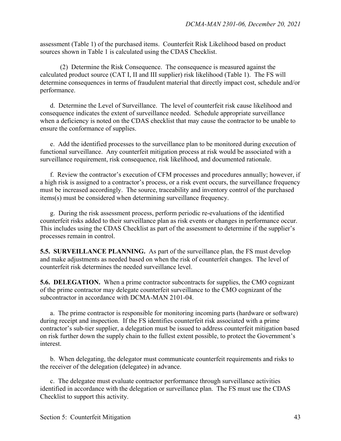assessment (Table 1) of the purchased items. Counterfeit Risk Likelihood based on product sources shown in Table 1 is calculated using the CDAS Checklist.

 (2) Determine the Risk Consequence. The consequence is measured against the calculated product source (CAT I, II and III supplier) risk likelihood (Table 1). The FS will determine consequences in terms of fraudulent material that directly impact cost, schedule and/or performance.

d. Determine the Level of Surveillance. The level of counterfeit risk cause likelihood and consequence indicates the extent of surveillance needed. Schedule appropriate surveillance when a deficiency is noted on the CDAS checklist that may cause the contractor to be unable to ensure the conformance of supplies.

e. Add the identified processes to the surveillance plan to be monitored during execution of functional surveillance. Any counterfeit mitigation process at risk would be associated with a surveillance requirement, risk consequence, risk likelihood, and documented rationale.

f. Review the contractor's execution of CFM processes and procedures annually; however, if a high risk is assigned to a contractor's process, or a risk event occurs, the surveillance frequency must be increased accordingly. The source, traceability and inventory control of the purchased items(s) must be considered when determining surveillance frequency.

g. During the risk assessment process, perform periodic re-evaluations of the identified counterfeit risks added to their surveillance plan as risk events or changes in performance occur. This includes using the CDAS Checklist as part of the assessment to determine if the supplier's processes remain in control.

**5.5. SURVEILLANCE PLANNING.** As part of the surveillance plan, the FS must develop and make adjustments as needed based on when the risk of counterfeit changes. The level of counterfeit risk determines the needed surveillance level.

**5.6. DELEGATION.** When a prime contractor subcontracts for supplies, the CMO cognizant of the prime contractor may delegate counterfeit surveillance to the CMO cognizant of the subcontractor in accordance with DCMA-MAN 2101-04.

a. The prime contractor is responsible for monitoring incoming parts (hardware or software) during receipt and inspection. If the FS identifies counterfeit risk associated with a prime contractor's sub-tier supplier, a delegation must be issued to address counterfeit mitigation based on risk further down the supply chain to the fullest extent possible, to protect the Government's interest.

b. When delegating, the delegator must communicate counterfeit requirements and risks to the receiver of the delegation (delegatee) in advance.

c. The delegatee must evaluate contractor performance through surveillance activities identified in accordance with the delegation or surveillance plan. The FS must use the CDAS Checklist to support this activity.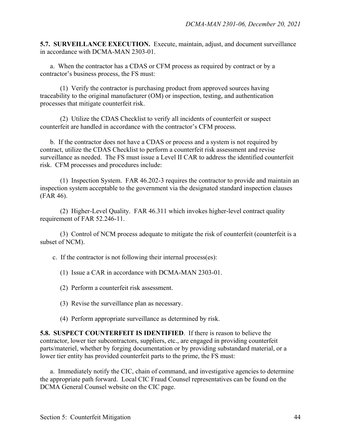**5.7. SURVEILLANCE EXECUTION.** Execute, maintain, adjust, and document surveillance in accordance with DCMA-MAN 2303-01.

 a. When the contractor has a CDAS or CFM process as required by contract or by a contractor's business process, the FS must:

 (1) Verify the contractor is purchasing product from approved sources having traceability to the original manufacturer (OM) or inspection, testing, and authentication processes that mitigate counterfeit risk.

 (2) Utilize the CDAS Checklist to verify all incidents of counterfeit or suspect counterfeit are handled in accordance with the contractor's CFM process.

b. If the contractor does not have a CDAS or process and a system is not required by contract, utilize the CDAS Checklist to perform a counterfeit risk assessment and revise surveillance as needed. The FS must issue a Level II CAR to address the identified counterfeit risk. CFM processes and procedures include:

 (1) Inspection System. FAR 46.202-3 requires the contractor to provide and maintain an inspection system acceptable to the government via the designated standard inspection clauses (FAR 46).

 (2) Higher-Level Quality. FAR 46.311 which invokes higher-level contract quality requirement of FAR 52.246-11.

 (3) Control of NCM process adequate to mitigate the risk of counterfeit (counterfeit is a subset of NCM).

c. If the contractor is not following their internal process(es):

(1) Issue a CAR in accordance with DCMA-MAN 2303-01.

- (2) Perform a counterfeit risk assessment.
- (3) Revise the surveillance plan as necessary.
- (4) Perform appropriate surveillance as determined by risk.

**5.8. SUSPECT COUNTERFEIT IS IDENTIFIED**. If there is reason to believe the contractor, lower tier subcontractors, suppliers, etc., are engaged in providing counterfeit parts/materiel, whether by forging documentation or by providing substandard material, or a lower tier entity has provided counterfeit parts to the prime, the FS must:

a. Immediately notify the CIC, chain of command, and investigative agencies to determine the appropriate path forward. Local CIC Fraud Counsel representatives can be found on the DCMA General Counsel website on the CIC page.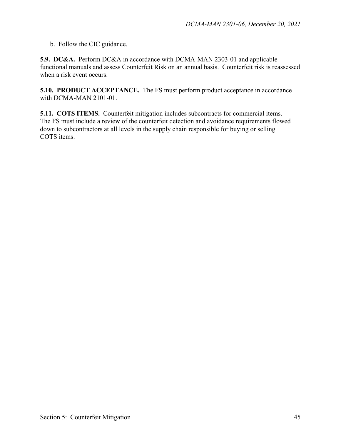b. Follow the CIC guidance.

**5.9. DC&A.** Perform DC&A in accordance with DCMA-MAN 2303-01 and applicable functional manuals and assess Counterfeit Risk on an annual basis. Counterfeit risk is reassessed when a risk event occurs.

**5.10. PRODUCT ACCEPTANCE.** The FS must perform product acceptance in accordance with DCMA-MAN 2101-01.

**5.11. COTS ITEMS.** Counterfeit mitigation includes subcontracts for commercial items. The FS must include a review of the counterfeit detection and avoidance requirements flowed down to subcontractors at all levels in the supply chain responsible for buying or selling COTS items.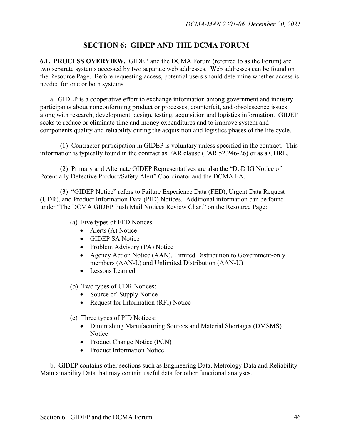## **SECTION 6: GIDEP AND THE DCMA FORUM**

**6.1. PROCESS OVERVIEW.** GIDEP and the DCMA Forum (referred to as the Forum) are two separate systems accessed by two separate web addresses. Web addresses can be found on the Resource Page. Before requesting access, potential users should determine whether access is needed for one or both systems.

a. GIDEP is a cooperative effort to exchange information among government and industry participants about nonconforming product or processes, counterfeit, and obsolescence issues along with research, development, design, testing, acquisition and logistics information. GIDEP seeks to reduce or eliminate time and money expenditures and to improve system and components quality and reliability during the acquisition and logistics phases of the life cycle.

(1) Contractor participation in GIDEP is voluntary unless specified in the contract. This information is typically found in the contract as FAR clause (FAR 52.246-26) or as a CDRL.

(2) Primary and Alternate GIDEP Representatives are also the "DoD IG Notice of Potentially Defective Product/Safety Alert" Coordinator and the DCMA FA.

 (3)"GIDEP Notice" refers to Failure Experience Data (FED), Urgent Data Request (UDR), and Product Information Data (PID) Notices. Additional information can be found under "The DCMA GIDEP Push Mail Notices Review Chart" on the Resource Page:

(a) Five types of FED Notices:

- Alerts (A) Notice
- GIDEP SA Notice
- Problem Advisory (PA) Notice
- Agency Action Notice (AAN), Limited Distribution to Government-only members (AAN-L) and Unlimited Distribution (AAN-U)
- Lessons Learned
- (b) Two types of UDR Notices:
	- Source of Supply Notice
	- Request for Information (RFI) Notice
- (c) Three types of PID Notices:
	- Diminishing Manufacturing Sources and Material Shortages (DMSMS) Notice
	- Product Change Notice (PCN)
	- Product Information Notice

b.GIDEP contains other sections such as Engineering Data, Metrology Data and Reliability-Maintainability Data that may contain useful data for other functional analyses.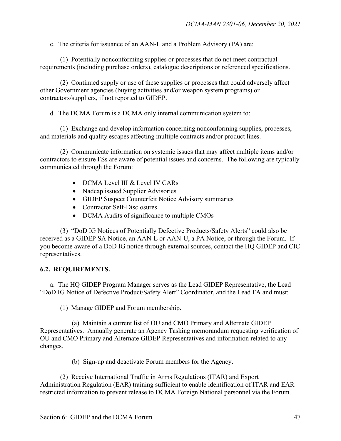c. The criteria for issuance of an AAN-L and a Problem Advisory (PA) are:

 (1) Potentially nonconforming supplies or processes that do not meet contractual requirements (including purchase orders), catalogue descriptions or referenced specifications.

(2) Continued supply or use of these supplies or processes that could adversely affect other Government agencies (buying activities and/or weapon system programs) or contractors/suppliers, if not reported to GIDEP.

d. The DCMA Forum is a DCMA only internal communication system to:

 (1) Exchange and develop information concerning nonconforming supplies, processes, and materials and quality escapes affecting multiple contracts and/or product lines.

 (2) Communicate information on systemic issues that may affect multiple items and/or contractors to ensure FSs are aware of potential issues and concerns. The following are typically communicated through the Forum:

- DCMA Level III & Level IV CARs
- Nadcap issued Supplier Advisories
- GIDEP Suspect Counterfeit Notice Advisory summaries
- Contractor Self-Disclosures
- DCMA Audits of significance to multiple CMOs

 (3) "DoD IG Notices of Potentially Defective Products/Safety Alerts" could also be received as a GIDEP SA Notice, an AAN-L or AAN-U, a PA Notice, or through the Forum. If you become aware of a DoD IG notice through external sources, contact the HQ GIDEP and CIC representatives.

### **6.2. REQUIREMENTS.**

a. The HQ GIDEP Program Manager serves as the Lead GIDEP Representative, the Lead "DoD IG Notice of Defective Product/Safety Alert" Coordinator, and the Lead FA and must:

(1) Manage GIDEP and Forum membership.

 (a) Maintain a current list of OU and CMO Primary and Alternate GIDEP Representatives. Annually generate an Agency Tasking memorandum requesting verification of OU and CMO Primary and Alternate GIDEP Representatives and information related to any changes.

(b) Sign-up and deactivate Forum members for the Agency.

 (2) Receive International Traffic in Arms Regulations (ITAR) and Export Administration Regulation (EAR) training sufficient to enable identification of ITAR and EAR restricted information to prevent release to DCMA Foreign National personnel via the Forum.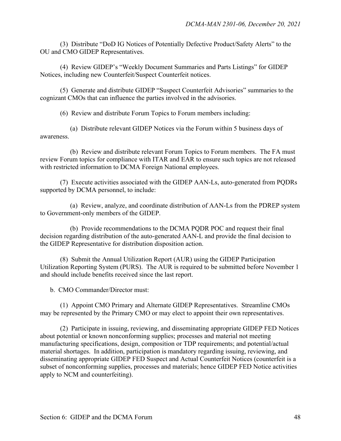(3) Distribute "DoD IG Notices of Potentially Defective Product/Safety Alerts" to the OU and CMO GIDEP Representatives.

 (4) Review GIDEP's "Weekly Document Summaries and Parts Listings" for GIDEP Notices, including new Counterfeit/Suspect Counterfeit notices.

 (5) Generate and distribute GIDEP "Suspect Counterfeit Advisories" summaries to the cognizant CMOs that can influence the parties involved in the advisories.

(6) Review and distribute Forum Topics to Forum members including:

 (a) Distribute relevant GIDEP Notices via the Forum within 5 business days of awareness.

 (b) Review and distribute relevant Forum Topics to Forum members. The FA must review Forum topics for compliance with ITAR and EAR to ensure such topics are not released with restricted information to DCMA Foreign National employees.

 (7) Execute activities associated with the GIDEP AAN-Ls, auto-generated from PQDRs supported by DCMA personnel, to include:

 (a) Review, analyze, and coordinate distribution of AAN-Ls from the PDREP system to Government-only members of the GIDEP.

 (b) Provide recommendations to the DCMA PQDR POC and request their final decision regarding distribution of the auto-generated AAN-L and provide the final decision to the GIDEP Representative for distribution disposition action.

 (8) Submit the Annual Utilization Report (AUR) using the GIDEP Participation Utilization Reporting System (PURS). The AUR is required to be submitted before November 1 and should include benefits received since the last report.

b. CMO Commander/Director must:

(1) Appoint CMO Primary and Alternate GIDEP Representatives. Streamline CMOs may be represented by the Primary CMO or may elect to appoint their own representatives.

 (2) Participate in issuing, reviewing, and disseminating appropriate GIDEP FED Notices about potential or known nonconforming supplies; processes and material not meeting manufacturing specifications, design, composition or TDP requirements; and potential/actual material shortages. In addition, participation is mandatory regarding issuing, reviewing, and disseminating appropriate GIDEP FED Suspect and Actual Counterfeit Notices (counterfeit is a subset of nonconforming supplies, processes and materials; hence GIDEP FED Notice activities apply to NCM and counterfeiting).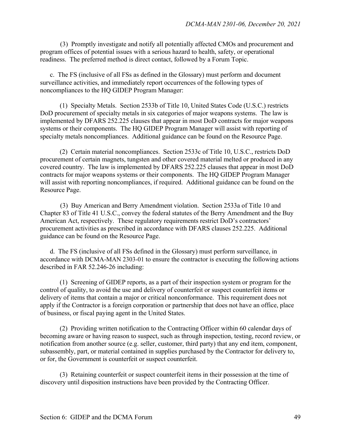(3) Promptly investigate and notify all potentially affected CMOs and procurement and program offices of potential issues with a serious hazard to health, safety, or operational readiness. The preferred method is direct contact, followed by a Forum Topic.

 c. The FS (inclusive of all FSs as defined in the Glossary) must perform and document surveillance activities, and immediately report occurrences of the following types of noncompliances to the HQ GIDEP Program Manager:

 (1) Specialty Metals. Section 2533b of Title 10, United States Code (U.S.C.) restricts DoD procurement of specialty metals in six categories of major weapons systems. The law is implemented by DFARS 252.225 clauses that appear in most DoD contracts for major weapons systems or their components. The HQ GIDEP Program Manager will assist with reporting of specialty metals noncompliances. Additional guidance can be found on the Resource Page.

 (2) Certain material noncompliances. Section 2533c of Title 10, U.S.C., restricts DoD procurement of certain magnets, tungsten and other covered material melted or produced in any covered country. The law is implemented by DFARS 252.225 clauses that appear in most DoD contracts for major weapons systems or their components. The HQ GIDEP Program Manager will assist with reporting noncompliances, if required. Additional guidance can be found on the Resource Page.

(3) Buy American and Berry Amendment violation. Section 2533a of Title 10 and Chapter 83 of Title 41 U.S.C., convey the federal statutes of the Berry Amendment and the Buy American Act, respectively. These regulatory requirements restrict DoD's contractors' procurement activities as prescribed in accordance with DFARS clauses 252.225. Additional guidance can be found on the Resource Page.

 d. The FS (inclusive of all FSs defined in the Glossary) must perform surveillance, in accordance with DCMA-MAN 2303-01 to ensure the contractor is executing the following actions described in FAR 52.246-26 including:

 (1) Screening of GIDEP reports, as a part of their inspection system or program for the control of quality, to avoid the use and delivery of counterfeit or suspect counterfeit items or delivery of items that contain a major or critical nonconformance. This requirement does not apply if the Contractor is a foreign corporation or partnership that does not have an office, place of business, or fiscal paying agent in the United States.

 (2) Providing written notification to the Contracting Officer within 60 calendar days of becoming aware or having reason to suspect, such as through inspection, testing, record review, or notification from another source (e.g. seller, customer, third party) that any end item, component, subassembly, part, or material contained in supplies purchased by the Contractor for delivery to, or for, the Government is counterfeit or suspect counterfeit.

 (3) Retaining counterfeit or suspect counterfeit items in their possession at the time of discovery until disposition instructions have been provided by the Contracting Officer.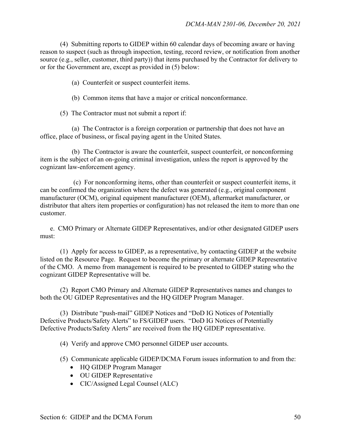(4) Submitting reports to GIDEP within 60 calendar days of becoming aware or having reason to suspect (such as through inspection, testing, record review, or notification from another source (e.g., seller, customer, third party)) that items purchased by the Contractor for delivery to or for the Government are, except as provided in (5) below:

(a) Counterfeit or suspect counterfeit items.

(b) Common items that have a major or critical nonconformance.

(5) The Contractor must not submit a report if:

 (a) The Contractor is a foreign corporation or partnership that does not have an office, place of business, or fiscal paying agent in the United States.

 (b) The Contractor is aware the counterfeit, suspect counterfeit, or nonconforming item is the subject of an on-going criminal investigation, unless the report is approved by the cognizant law-enforcement agency.

 (c) For nonconforming items, other than counterfeit or suspect counterfeit items, it can be confirmed the organization where the defect was generated (e.g., original component manufacturer (OCM), original equipment manufacturer (OEM), aftermarket manufacturer, or distributor that alters item properties or configuration) has not released the item to more than one customer.

 e. CMO Primary or Alternate GIDEP Representatives, and/or other designated GIDEP users must:

 (1) Apply for access to GIDEP, as a representative, by contacting GIDEP at the website listed on the Resource Page. Request to become the primary or alternate GIDEP Representative of the CMO. A memo from management is required to be presented to GIDEP stating who the cognizant GIDEP Representative will be.

 (2) Report CMO Primary and Alternate GIDEP Representatives names and changes to both the OU GIDEP Representatives and the HQ GIDEP Program Manager.

 (3) Distribute "push-mail" GIDEP Notices and "DoD IG Notices of Potentially Defective Products/Safety Alerts" to FS/GIDEP users. "DoD IG Notices of Potentially Defective Products/Safety Alerts" are received from the HQ GIDEP representative.

(4) Verify and approve CMO personnel GIDEP user accounts.

(5) Communicate applicable GIDEP/DCMA Forum issues information to and from the:

- HQ GIDEP Program Manager
- OU GIDEP Representative
- CIC/Assigned Legal Counsel (ALC)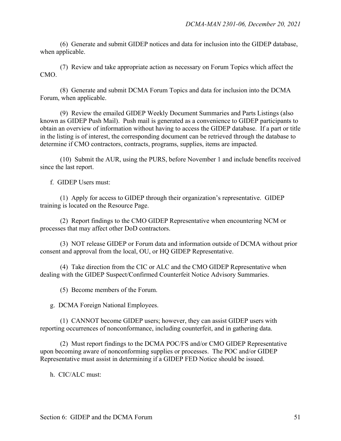(6) Generate and submit GIDEP notices and data for inclusion into the GIDEP database, when applicable.

 (7) Review and take appropriate action as necessary on Forum Topics which affect the CMO.

 (8) Generate and submit DCMA Forum Topics and data for inclusion into the DCMA Forum, when applicable.

 (9) Review the emailed GIDEP Weekly Document Summaries and Parts Listings (also known as GIDEP Push Mail). Push mail is generated as a convenience to GIDEP participants to obtain an overview of information without having to access the GIDEP database. If a part or title in the listing is of interest, the corresponding document can be retrieved through the database to determine if CMO contractors, contracts, programs, supplies, items are impacted.

 (10) Submit the AUR, using the PURS, before November 1 and include benefits received since the last report.

f. GIDEP Users must:

 (1) Apply for access to GIDEP through their organization's representative. GIDEP training is located on the Resource Page.

 (2) Report findings to the CMO GIDEP Representative when encountering NCM or processes that may affect other DoD contractors.

 (3) NOT release GIDEP or Forum data and information outside of DCMA without prior consent and approval from the local, OU, or HQ GIDEP Representative.

 (4) Take direction from the CIC or ALC and the CMO GIDEP Representative when dealing with the GIDEP Suspect/Confirmed Counterfeit Notice Advisory Summaries.

(5) Become members of the Forum.

g. DCMA Foreign National Employees.

 (1) CANNOT become GIDEP users; however, they can assist GIDEP users with reporting occurrences of nonconformance, including counterfeit, and in gathering data.

 (2) Must report findings to the DCMA POC/FS and/or CMO GIDEP Representative upon becoming aware of nonconforming supplies or processes. The POC and/or GIDEP Representative must assist in determining if a GIDEP FED Notice should be issued.

h. CIC/ALC must: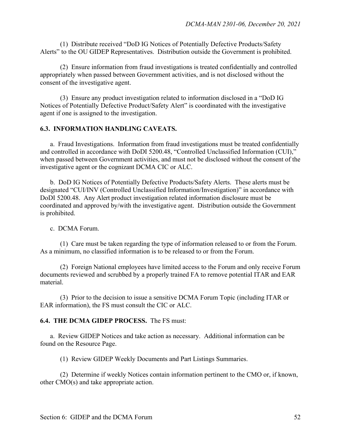(1) Distribute received "DoD IG Notices of Potentially Defective Products/Safety Alerts" to the OU GIDEP Representatives. Distribution outside the Government is prohibited.

 (2) Ensure information from fraud investigations is treated confidentially and controlled appropriately when passed between Government activities, and is not disclosed without the consent of the investigative agent.

 (3) Ensure any product investigation related to information disclosed in a "DoD IG Notices of Potentially Defective Product/Safety Alert" is coordinated with the investigative agent if one is assigned to the investigation.

## **6.3. INFORMATION HANDLING CAVEATS.**

a. Fraud Investigations.Information from fraud investigations must be treated confidentially and controlled in accordance with DoDI 5200.48, "Controlled Unclassified Information (CUI)," when passed between Government activities, and must not be disclosed without the consent of the investigative agent or the cognizant DCMA CIC or ALC.

b. DoD IG Notices of Potentially Defective Products/Safety Alerts.These alerts must be designated "CUI/INV (Controlled Unclassified Information/Investigation)" in accordance with DoDI 5200.48. Any Alert product investigation related information disclosure must be coordinated and approved by/with the investigative agent. Distribution outside the Government is prohibited.

#### c. DCMA Forum.

 (1) Care must be taken regarding the type of information released to or from the Forum. As a minimum, no classified information is to be released to or from the Forum.

 (2) Foreign National employees have limited access to the Forum and only receive Forum documents reviewed and scrubbed by a properly trained FA to remove potential ITAR and EAR material.

 (3) Prior to the decision to issue a sensitive DCMA Forum Topic (including ITAR or EAR information), the FS must consult the CIC or ALC.

#### **6.4. THE DCMA GIDEP PROCESS.** The FS must:

a.Review GIDEP Notices and take action as necessary. Additional information can be found on the Resource Page.

(1) Review GIDEP Weekly Documents and Part Listings Summaries.

(2) Determine if weekly Notices contain information pertinent to the CMO or, if known, other CMO(s) and take appropriate action.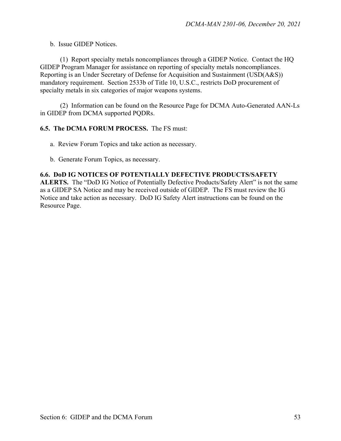b.Issue GIDEP Notices.

(1) Report specialty metals noncompliances through a GIDEP Notice. Contact the HQ GIDEP Program Manager for assistance on reporting of specialty metals noncompliances. Reporting is an Under Secretary of Defense for Acquisition and Sustainment (USD(A&S)) mandatory requirement. Section 2533b of Title 10, U.S.C., restricts DoD procurement of specialty metals in six categories of major weapons systems.

(2) Information can be found on the Resource Page for DCMA Auto-Generated AAN-Ls in GIDEP from DCMA supported PQDRs.

## **6.5. The DCMA FORUM PROCESS.** The FS must:

- a. Review Forum Topics and take action as necessary.
- b. Generate Forum Topics, as necessary.

## **6.6. DoD IG NOTICES OF POTENTIALLY DEFECTIVE PRODUCTS/SAFETY**

**ALERTS.** The "DoD IG Notice of Potentially Defective Products/Safety Alert" is not the same as a GIDEP SA Notice and may be received outside of GIDEP. The FS must review the IG Notice and take action as necessary. DoD IG Safety Alert instructions can be found on the Resource Page.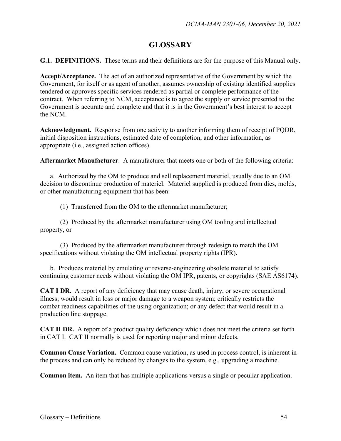## **GLOSSARY**

**G.1. DEFINITIONS.** These terms and their definitions are for the purpose of this Manual only.

**Accept/Acceptance.** The act of an authorized representative of the Government by which the Government, for itself or as agent of another, assumes ownership of existing identified supplies tendered or approves specific services rendered as partial or complete performance of the contract. When referring to NCM, acceptance is to agree the supply or service presented to the Government is accurate and complete and that it is in the Government's best interest to accept the NCM.

**Acknowledgment.** Response from one activity to another informing them of receipt of PQDR, initial disposition instructions, estimated date of completion, and other information, as appropriate (i.e., assigned action offices).

**Aftermarket Manufacturer**. A manufacturer that meets one or both of the following criteria:

a. Authorized by the OM to produce and sell replacement materiel, usually due to an OM decision to discontinue production of materiel. Materiel supplied is produced from dies, molds, or other manufacturing equipment that has been:

(1) Transferred from the OM to the aftermarket manufacturer;

 (2) Produced by the aftermarket manufacturer using OM tooling and intellectual property, or

 (3) Produced by the aftermarket manufacturer through redesign to match the OM specifications without violating the OM intellectual property rights (IPR).

 b. Produces materiel by emulating or reverse-engineering obsolete materiel to satisfy continuing customer needs without violating the OM IPR, patents, or copyrights (SAE AS6174).

**CAT I DR.** A report of any deficiency that may cause death, injury, or severe occupational illness; would result in loss or major damage to a weapon system; critically restricts the combat readiness capabilities of the using organization; or any defect that would result in a production line stoppage.

**CAT II DR.** A report of a product quality deficiency which does not meet the criteria set forth in CAT I. CAT II normally is used for reporting major and minor defects.

**Common Cause Variation.** Common cause variation, as used in process control, is inherent in the process and can only be reduced by changes to the system, e.g., upgrading a machine.

**Common item.** An item that has multiple applications versus a single or peculiar application.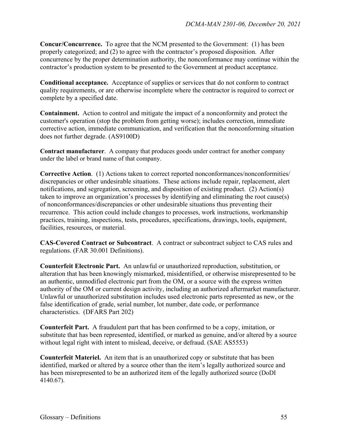**Concur/Concurrence.** To agree that the NCM presented to the Government: (1) has been properly categorized; and (2) to agree with the contractor's proposed disposition. After concurrence by the proper determination authority, the nonconformance may continue within the contractor's production system to be presented to the Government at product acceptance.

**Conditional acceptance.** Acceptance of supplies or services that do not conform to contract quality requirements, or are otherwise incomplete where the contractor is required to correct or complete by a specified date.

**Containment.** Action to control and mitigate the impact of a nonconformity and protect the customer's operation (stop the problem from getting worse); includes correction, immediate corrective action, immediate communication, and verification that the nonconforming situation does not further degrade. (AS9100D)

**Contract manufacturer**. A company that produces goods under contract for another company under the label or brand name of that company.

**Corrective Action**. (1) Actions taken to correct reported nonconformances/nonconformities/ discrepancies or other undesirable situations. These actions include repair, replacement, alert notifications, and segregation, screening, and disposition of existing product. (2) Action(s) taken to improve an organization's processes by identifying and eliminating the root cause(s) of nonconformances/discrepancies or other undesirable situations thus preventing their recurrence. This action could include changes to processes, work instructions, workmanship practices, training, inspections, tests, procedures, specifications, drawings, tools, equipment, facilities, resources, or material.

**CAS-Covered Contract or Subcontract**. A contract or subcontract subject to CAS rules and regulations. (FAR 30.001 Definitions).

**Counterfeit Electronic Part.** An unlawful or unauthorized reproduction, substitution, or alteration that has been knowingly mismarked, misidentified, or otherwise misrepresented to be an authentic, unmodified electronic part from the OM, or a source with the express written authority of the OM or current design activity, including an authorized aftermarket manufacturer. Unlawful or unauthorized substitution includes used electronic parts represented as new, or the false identification of grade, serial number, lot number, date code, or performance characteristics. (DFARS Part 202)

**Counterfeit Part.** A fraudulent part that has been confirmed to be a copy, imitation, or substitute that has been represented, identified, or marked as genuine, and/or altered by a source without legal right with intent to mislead, deceive, or defraud. (SAE AS5553)

**Counterfeit Materiel.** An item that is an unauthorized copy or substitute that has been identified, marked or altered by a source other than the item's legally authorized source and has been misrepresented to be an authorized item of the legally authorized source (DoDI 4140.67).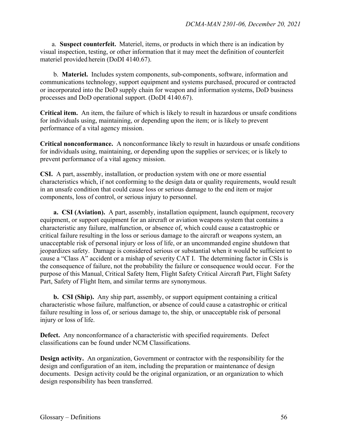a. **Suspect counterfeit.** Materiel, items, or products in which there is an indication by visual inspection, testing, or other information that it may meet the definition of counterfeit materiel provided herein (DoDI 4140.67).

 b. **Materiel.** Includes system components, sub-components, software, information and communications technology, support equipment and systems purchased, procured or contracted or incorporated into the DoD supply chain for weapon and information systems, DoD business processes and DoD operational support. (DoDI 4140.67).

**Critical item.** An item, the failure of which is likely to result in hazardous or unsafe conditions for individuals using, maintaining, or depending upon the item; or is likely to prevent performance of a vital agency mission.

**Critical nonconformance.** A nonconformance likely to result in hazardous or unsafe conditions for individuals using, maintaining, or depending upon the supplies or services; or is likely to prevent performance of a vital agency mission.

**CSI.** A part, assembly, installation, or production system with one or more essential characteristics which, if not conforming to the design data or quality requirements, would result in an unsafe condition that could cause loss or serious damage to the end item or major components, loss of control, or serious injury to personnel.

**a. CSI (Aviation).** A part, assembly, installation equipment, launch equipment, recovery equipment, or support equipment for an aircraft or aviation weapons system that contains a characteristic any failure, malfunction, or absence of, which could cause a catastrophic or critical failure resulting in the loss or serious damage to the aircraft or weapons system, an unacceptable risk of personal injury or loss of life, or an uncommanded engine shutdown that jeopardizes safety. Damage is considered serious or substantial when it would be sufficient to cause a "Class A" accident or a mishap of severity CAT I. The determining factor in CSIs is the consequence of failure, not the probability the failure or consequence would occur. For the purpose of this Manual, Critical Safety Item, Flight Safety Critical Aircraft Part, Flight Safety Part, Safety of Flight Item, and similar terms are synonymous.

**b. CSI (Ship).** Any ship part, assembly, or support equipment containing a critical characteristic whose failure, malfunction, or absence of could cause a catastrophic or critical failure resulting in loss of, or serious damage to, the ship, or unacceptable risk of personal injury or loss of life.

**Defect.** Any nonconformance of a characteristic with specified requirements. Defect classifications can be found under NCM Classifications.

**Design activity.** An organization, Government or contractor with the responsibility for the design and configuration of an item, including the preparation or maintenance of design documents. Design activity could be the original organization, or an organization to which design responsibility has been transferred.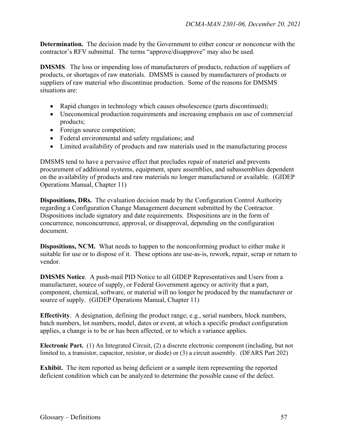**Determination.** The decision made by the Government to either concur or nonconcur with the contractor's RFV submittal. The terms "approve/disapprove" may also be used.

**DMSMS**. The loss or impending loss of manufacturers of products, reduction of suppliers of products, or shortages of raw materials. DMSMS is caused by manufacturers of products or suppliers of raw material who discontinue production. Some of the reasons for DMSMS situations are:

- Rapid changes in technology which causes obsolescence (parts discontinued);
- Uneconomical production requirements and increasing emphasis on use of commercial products;
- Foreign source competition;
- Federal environmental and safety regulations; and
- Limited availability of products and raw materials used in the manufacturing process

DMSMS tend to have a pervasive effect that precludes repair of materiel and prevents procurement of additional systems, equipment, spare assemblies, and subassemblies dependent on the availability of products and raw materials no longer manufactured or available. (GIDEP Operations Manual, Chapter 11)

**Dispositions, DRs.** The evaluation decision made by the Configuration Control Authority regarding a Configuration Change Management document submitted by the Contractor. Dispositions include signatory and date requirements. Dispositions are in the form of concurrence, nonconcurrence, approval, or disapproval, depending on the configuration document.

**Dispositions, NCM.** What needs to happen to the nonconforming product to either make it suitable for use or to dispose of it. These options are use-as-is, rework, repair, scrap or return to vendor.

**DMSMS Notice**. A push-mail PID Notice to all GIDEP Representatives and Users from a manufacturer, source of supply, or Federal Government agency or activity that a part, component, chemical, software, or material will no longer be produced by the manufacturer or source of supply. (GIDEP Operations Manual, Chapter 11)

**Effectivity**. A designation, defining the product range; e.g., serial numbers, block numbers, batch numbers, lot numbers, model, dates or event, at which a specific product configuration applies, a change is to be or has been affected, or to which a variance applies.

**Electronic Part.** (1) An Integrated Circuit, (2) a discrete electronic component (including, but not limited to, a transistor, capacitor, resistor, or diode) or (3) a circuit assembly. (DFARS Part 202)

**Exhibit.** The item reported as being deficient or a sample item representing the reported deficient condition which can be analyzed to determine the possible cause of the defect.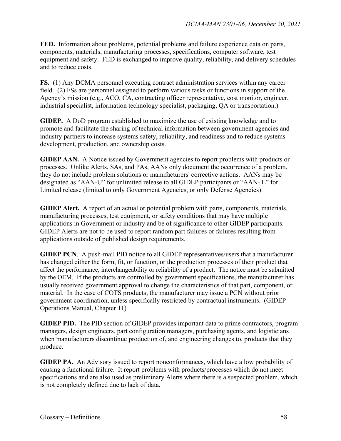**FED.** Information about problems, potential problems and failure experience data on parts, components, materials, manufacturing processes, specifications, computer software, test equipment and safety. FED is exchanged to improve quality, reliability, and delivery schedules and to reduce costs.

**FS.** (1) Any DCMA personnel executing contract administration services within any career field. (2) FSs are personnel assigned to perform various tasks or functions in support of the Agency's mission (e.g., ACO, CA, contracting officer representative, cost monitor, engineer, industrial specialist, information technology specialist, packaging, QA or transportation.)

**GIDEP.** A DoD program established to maximize the use of existing knowledge and to promote and facilitate the sharing of technical information between government agencies and industry partners to increase systems safety, reliability, and readiness and to reduce systems development, production, and ownership costs.

**GIDEP AAN.** A Notice issued by Government agencies to report problems with products or processes. Unlike Alerts, SAs, and PAs, AANs only document the occurrence of a problem, they do not include problem solutions or manufacturers' corrective actions. AANs may be designated as "AAN-U" for unlimited release to all GIDEP participants or "AAN- L" for Limited release (limited to only Government Agencies, or only Defense Agencies).

**GIDEP Alert.** A report of an actual or potential problem with parts, components, materials, manufacturing processes, test equipment, or safety conditions that may have multiple applications in Government or industry and be of significance to other GIDEP participants. GIDEP Alerts are not to be used to report random part failures or failures resulting from applications outside of published design requirements.

**GIDEP PCN**. A push-mail PID notice to all GIDEP representatives/users that a manufacturer has changed either the form, fit, or function, or the production processes of their product that affect the performance, interchangeability or reliability of a product. The notice must be submitted by the OEM. If the products are controlled by government specifications, the manufacturer has usually received government approval to change the characteristics of that part, component, or material. In the case of COTS products, the manufacturer may issue a PCN without prior government coordination, unless specifically restricted by contractual instruments. (GIDEP Operations Manual, Chapter 11)

**GIDEP PID.** The PID section of GIDEP provides important data to prime contractors, program managers, design engineers, part configuration managers, purchasing agents, and logisticians when manufacturers discontinue production of, and engineering changes to, products that they produce.

**GIDEP PA.** An Advisory issued to report nonconformances, which have a low probability of causing a functional failure. It report problems with products/processes which do not meet specifications and are also used as preliminary Alerts where there is a suspected problem, which is not completely defined due to lack of data.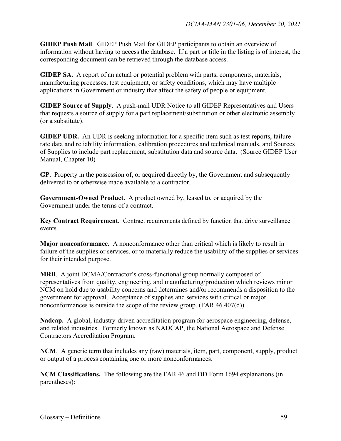**GIDEP Push Mail**. GIDEP Push Mail for GIDEP participants to obtain an overview of information without having to access the database. If a part or title in the listing is of interest, the corresponding document can be retrieved through the database access.

**GIDEP SA.** A report of an actual or potential problem with parts, components, materials, manufacturing processes, test equipment, or safety conditions, which may have multiple applications in Government or industry that affect the safety of people or equipment.

**GIDEP Source of Supply**. A push-mail UDR Notice to all GIDEP Representatives and Users that requests a source of supply for a part replacement/substitution or other electronic assembly (or a substitute).

**GIDEP UDR.** An UDR is seeking information for a specific item such as test reports, failure rate data and reliability information, calibration procedures and technical manuals, and Sources of Supplies to include part replacement, substitution data and source data. (Source GIDEP User Manual, Chapter 10)

**GP.** Property in the possession of, or acquired directly by, the Government and subsequently delivered to or otherwise made available to a contractor.

**Government-Owned Product.** A product owned by, leased to, or acquired by the Government under the terms of a contract.

**Key Contract Requirement.** Contract requirements defined by function that drive surveillance events.

**Major nonconformance.** A nonconformance other than critical which is likely to result in failure of the supplies or services, or to materially reduce the usability of the supplies or services for their intended purpose.

**MRB**. A joint DCMA/Contractor's cross-functional group normally composed of representatives from quality, engineering, and manufacturing/production which reviews minor NCM on hold due to usability concerns and determines and/or recommends a disposition to the government for approval. Acceptance of supplies and services with critical or major nonconformances is outside the scope of the review group. (FAR 46.407(d))

**Nadcap.** A global, industry-driven accreditation program for aerospace engineering, defense, and related industries. Formerly known as NADCAP, the National Aerospace and Defense Contractors Accreditation Program.

**NCM**. A generic term that includes any (raw) materials, item, part, component, supply, product or output of a process containing one or more nonconformances.

**NCM Classifications.** The following are the FAR 46 and DD Form 1694 explanations (in parentheses):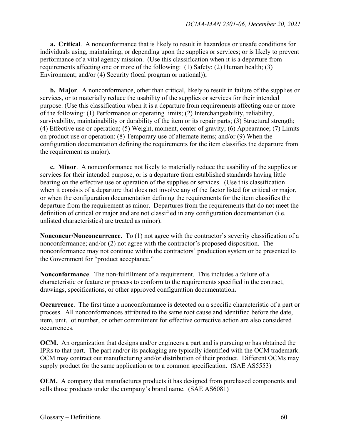**a. Critical**. A nonconformance that is likely to result in hazardous or unsafe conditions for individuals using, maintaining, or depending upon the supplies or services; or is likely to prevent performance of a vital agency mission. (Use this classification when it is a departure from requirements affecting one or more of the following: (1) Safety; (2) Human health; (3) Environment; and/or (4) Security (local program or national));

**b. Major**. A nonconformance, other than critical, likely to result in failure of the supplies or services, or to materially reduce the usability of the supplies or services for their intended purpose. (Use this classification when it is a departure from requirements affecting one or more of the following: (1) Performance or operating limits; (2) Interchangeability, reliability, survivability, maintainability or durability of the item or its repair parts; (3) Structural strength; (4) Effective use or operation; (5) Weight, moment, center of gravity; (6) Appearance; (7) Limits on product use or operation; (8) Temporary use of alternate items; and/or (9) When the configuration documentation defining the requirements for the item classifies the departure from the requirement as major).

**c. Minor**. A nonconformance not likely to materially reduce the usability of the supplies or services for their intended purpose, or is a departure from established standards having little bearing on the effective use or operation of the supplies or services. (Use this classification when it consists of a departure that does not involve any of the factor listed for critical or major, or when the configuration documentation defining the requirements for the item classifies the departure from the requirement as minor. Departures from the requirements that do not meet the definition of critical or major and are not classified in any configuration documentation (i.e. unlisted characteristics) are treated as minor).

**Nonconcur/Nonconcurrence.** To (1) not agree with the contractor's severity classification of a nonconformance; and/or (2) not agree with the contractor's proposed disposition. The nonconformance may not continue within the contractors' production system or be presented to the Government for "product acceptance."

**Nonconformance**. The non-fulfillment of a requirement. This includes a failure of a characteristic or feature or process to conform to the requirements specified in the contract, drawings, specifications, or other approved configuration documentation**.** 

**Occurrence**. The first time a nonconformance is detected on a specific characteristic of a part or process. All nonconformances attributed to the same root cause and identified before the date, item, unit, lot number, or other commitment for effective corrective action are also considered occurrences.

**OCM.** An organization that designs and/or engineers a part and is pursuing or has obtained the IPRs to that part. The part and/or its packaging are typically identified with the OCM trademark. OCM may contract out manufacturing and/or distribution of their product. Different OCMs may supply product for the same application or to a common specification. (SAE AS5553)

**OEM.** A company that manufactures products it has designed from purchased components and sells those products under the company's brand name. (SAE AS6081)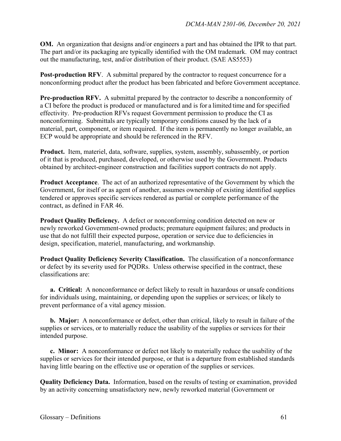**OM.** An organization that designs and/or engineers a part and has obtained the IPR to that part. The part and/or its packaging are typically identified with the OM trademark. OM may contract out the manufacturing, test, and/or distribution of their product. (SAE AS5553)

**Post-production RFV.** A submittal prepared by the contractor to request concurrence for a nonconforming product after the product has been fabricated and before Government acceptance.

**Pre-production RFV.** A submittal prepared by the contractor to describe a nonconformity of a CI before the product is produced or manufactured and is for a limited time and forspecified effectivity. Pre-production RFVs request Government permission to produce the CI as nonconforming. Submittals are typically temporary conditions caused by the lack of a material, part, component, or item required. If the item is permanently no longer available, an ECP would be appropriate and should be referenced in the RFV.

**Product.** Item, materiel, data, software, supplies, system, assembly, subassembly, or portion of it that is produced, purchased, developed, or otherwise used by the Government. Products obtained by architect-engineer construction and facilities support contracts do not apply.

**Product Acceptance**. The act of an authorized representative of the Government by which the Government, for itself or as agent of another, assumes ownership of existing identified supplies tendered or approves specific services rendered as partial or complete performance of the contract, as defined in FAR 46.

**Product Quality Deficiency.** A defect or nonconforming condition detected on new or newly reworked Government-owned products; premature equipment failures; and products in use that do not fulfill their expected purpose, operation or service due to deficiencies in design, specification, materiel, manufacturing, and workmanship.

**Product Quality Deficiency Severity Classification.** The classification of a nonconformance or defect by its severity used for PQDRs. Unless otherwise specified in the contract, these classifications are:

**a. Critical:** A nonconformance or defect likely to result in hazardous or unsafe conditions for individuals using, maintaining, or depending upon the supplies or services; or likely to prevent performance of a vital agency mission.

**b. Major:** A nonconformance or defect, other than critical, likely to result in failure of the supplies or services, or to materially reduce the usability of the supplies or services for their intended purpose.

**c. Minor:** A nonconformance or defect not likely to materially reduce the usability of the supplies or services for their intended purpose, or that is a departure from established standards having little bearing on the effective use or operation of the supplies or services.

**Quality Deficiency Data.** Information, based on the results of testing or examination, provided by an activity concerning unsatisfactory new, newly reworked material (Government or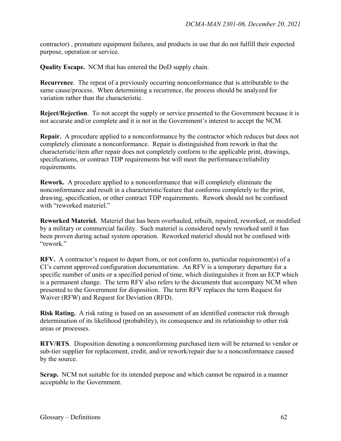contractor) , premature equipment failures, and products in use that do not fulfill their expected purpose, operation or service.

**Quality Escape.** NCM that has entered the DoD supply chain.

**Recurrence**. The repeat of a previously occurring nonconformance that is attributable to the same cause/process. When determining a recurrence, the process should be analyzed for variation rather than the characteristic.

**Reject/Rejection**. To not accept the supply or service presented to the Government because it is not accurate and/or complete and it is not in the Government's interest to accept the NCM.

**Repair.** A procedure applied to a nonconformance by the contractor which reduces but does not completely eliminate a nonconformance. Repair is distinguished from rework in that the characteristic/item after repair does not completely conform to the applicable print, drawings, specifications, or contract TDP requirements but will meet the performance/reliability requirements.

**Rework.** A procedure applied to a nonconformance that will completely eliminate the nonconformance and result in a characteristic/feature that conforms completely to the print, drawing, specification, or other contract TDP requirements. Rework should not be confused with "reworked materiel."

**Reworked Materiel.** Materiel that has been overhauled, rebuilt, repaired, reworked, or modified by a military or commercial facility. Such materiel is considered newly reworked until it has been proven during actual system operation. Reworked materiel should not be confused with "rework."

**RFV.** A contractor's request to depart from, or not conform to, particular requirement(s) of a CI's current approved configuration documentation. An RFV is a temporary departure for a specific number of units or a specified period of time, which distinguishes it from an ECP which is a permanent change. The term RFV also refers to the documents that accompany NCM when presented to the Government for disposition. The term RFV replaces the term Request for Waiver (RFW) and Request for Deviation (RFD).

**Risk Rating.** A risk rating is based on an assessment of an identified contractor risk through determination of its likelihood (probability), its consequence and its relationship to other risk areas or processes.

**RTV/RTS**. Disposition denoting a nonconforming purchased item will be returned to vendor or sub-tier supplier for replacement, credit, and/or rework/repair due to a nonconformance caused by the source.

**Scrap.** NCM not suitable for its intended purpose and which cannot be repaired in a manner acceptable to the Government.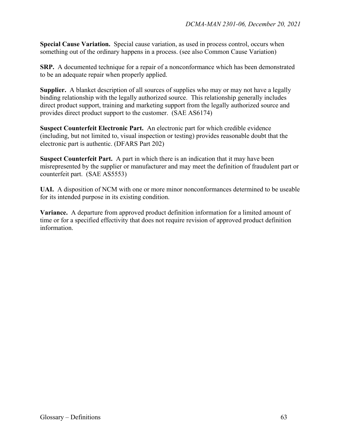**Special Cause Variation.** Special cause variation, as used in process control, occurs when something out of the ordinary happens in a process. (see also Common Cause Variation)

**SRP.** A documented technique for a repair of a nonconformance which has been demonstrated to be an adequate repair when properly applied.

**Supplier.** A blanket description of all sources of supplies who may or may not have a legally binding relationship with the legally authorized source. This relationship generally includes direct product support, training and marketing support from the legally authorized source and provides direct product support to the customer. (SAE AS6174)

**Suspect Counterfeit Electronic Part.** An electronic part for which credible evidence (including, but not limited to, visual inspection or testing) provides reasonable doubt that the electronic part is authentic. (DFARS Part 202)

**Suspect Counterfeit Part.** A part in which there is an indication that it may have been misrepresented by the supplier or manufacturer and may meet the definition of fraudulent part or counterfeit part. (SAE AS5553)

**UAI.** A disposition of NCM with one or more minor nonconformances determined to be useable for its intended purpose in its existing condition.

**Variance.** A departure from approved product definition information for a limited amount of time or for a specified effectivity that does not require revision of approved product definition information.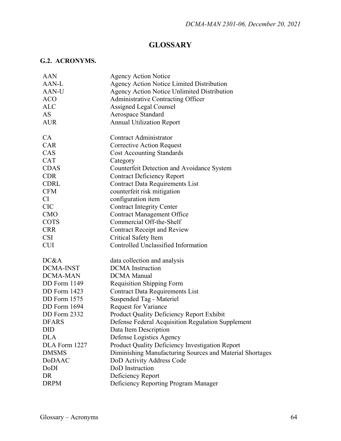## **GLOSSARY**

## **G.2. ACRONYMS.**

| AAN                 | <b>Agency Action Notice</b>                              |
|---------------------|----------------------------------------------------------|
| AAN-L               | Agency Action Notice Limited Distribution                |
| <b>AAN-U</b>        | <b>Agency Action Notice Unlimited Distribution</b>       |
| <b>ACO</b>          | <b>Administrative Contracting Officer</b>                |
| <b>ALC</b>          | <b>Assigned Legal Counsel</b>                            |
| AS                  | Aerospace Standard                                       |
| <b>AUR</b>          | <b>Annual Utilization Report</b>                         |
| CA                  | Contract Administrator                                   |
| <b>CAR</b>          | <b>Corrective Action Request</b>                         |
| CAS                 | <b>Cost Accounting Standards</b>                         |
| <b>CAT</b>          | Category                                                 |
| <b>CDAS</b>         | <b>Counterfeit Detection and Avoidance System</b>        |
| <b>CDR</b>          | <b>Contract Deficiency Report</b>                        |
| <b>CDRL</b>         | <b>Contract Data Requirements List</b>                   |
| <b>CFM</b>          | counterfeit risk mitigation                              |
| CI                  | configuration item                                       |
| <b>CIC</b>          | <b>Contract Integrity Center</b>                         |
| <b>CMO</b>          | <b>Contract Management Office</b>                        |
| <b>COTS</b>         | Commercial Off-the-Shelf                                 |
| <b>CRR</b>          | <b>Contract Receipt and Review</b>                       |
| <b>CSI</b>          | Critical Safety Item                                     |
| <b>CUI</b>          | Controlled Unclassified Information                      |
| DC&A                | data collection and analysis                             |
| <b>DCMA-INST</b>    | <b>DCMA</b> Instruction                                  |
| <b>DCMA-MAN</b>     | <b>DCMA</b> Manual                                       |
| DD Form 1149        | <b>Requisition Shipping Form</b>                         |
| DD Form 1423        | Contract Data Requirements List                          |
| <b>DD</b> Form 1575 | Suspended Tag - Materiel                                 |
| DD Form 1694        | <b>Request for Variance</b>                              |
| DD Form 2332        | Product Quality Deficiency Report Exhibit                |
| <b>DFARS</b>        | Defense Federal Acquisition Regulation Supplement        |
| <b>DID</b>          | Data Item Description                                    |
| <b>DLA</b>          | Defense Logistics Agency                                 |
| DLA Form 1227       | Product Quality Deficiency Investigation Report          |
| <b>DMSMS</b>        | Diminishing Manufacturing Sources and Material Shortages |
| DoDAAC              | DoD Activity Address Code                                |
| DoDI                | DoD Instruction                                          |
| DR                  | Deficiency Report                                        |
| <b>DRPM</b>         | Deficiency Reporting Program Manager                     |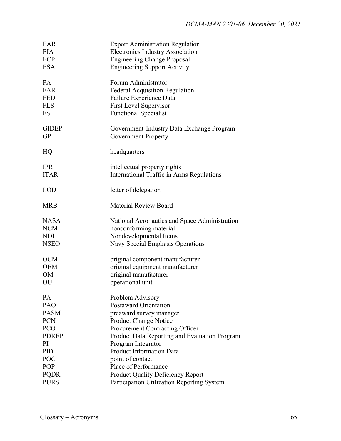| EAR<br><b>EIA</b>         | <b>Export Administration Regulation</b><br><b>Electronics Industry Association</b> |
|---------------------------|------------------------------------------------------------------------------------|
| ECP                       | <b>Engineering Change Proposal</b>                                                 |
| <b>ESA</b>                | <b>Engineering Support Activity</b>                                                |
|                           |                                                                                    |
| FA                        | Forum Administrator                                                                |
| <b>FAR</b>                | <b>Federal Acquisition Regulation</b>                                              |
| <b>FED</b>                | Failure Experience Data                                                            |
| <b>FLS</b>                | <b>First Level Supervisor</b>                                                      |
| <b>FS</b>                 | <b>Functional Specialist</b>                                                       |
| <b>GIDEP</b><br><b>GP</b> | Government-Industry Data Exchange Program<br><b>Government Property</b>            |
| HQ                        | headquarters                                                                       |
| <b>IPR</b>                | intellectual property rights                                                       |
| <b>ITAR</b>               | International Traffic in Arms Regulations                                          |
|                           |                                                                                    |
| <b>LOD</b>                | letter of delegation                                                               |
| <b>MRB</b>                | <b>Material Review Board</b>                                                       |
| <b>NASA</b>               | National Aeronautics and Space Administration                                      |
| <b>NCM</b>                | nonconforming material                                                             |
| <b>NDI</b>                | Nondevelopmental Items                                                             |
| <b>NSEO</b>               | Navy Special Emphasis Operations                                                   |
|                           |                                                                                    |
| <b>OCM</b>                | original component manufacturer                                                    |
| <b>OEM</b>                | original equipment manufacturer                                                    |
| OM                        | original manufacturer                                                              |
| OU                        | operational unit                                                                   |
| PA                        | Problem Advisory                                                                   |
| PAO                       | <b>Postaward Orientation</b>                                                       |
| <b>PASM</b>               | preaward survey manager                                                            |
| <b>PCN</b>                | Product Change Notice                                                              |
| PCO                       | Procurement Contracting Officer                                                    |
| <b>PDREP</b>              | Product Data Reporting and Evaluation Program                                      |
| PI                        | Program Integrator                                                                 |
| PID                       | <b>Product Information Data</b>                                                    |
| POC                       | point of contact                                                                   |
| POP                       | Place of Performance                                                               |
| <b>PQDR</b>               | <b>Product Quality Deficiency Report</b>                                           |
|                           |                                                                                    |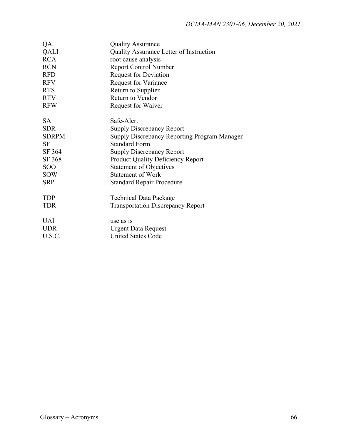| QA           | <b>Quality Assurance</b>                     |
|--------------|----------------------------------------------|
| QALI         | Quality Assurance Letter of Instruction      |
| <b>RCA</b>   | root cause analysis                          |
| <b>RCN</b>   | <b>Report Control Number</b>                 |
| <b>RFD</b>   | <b>Request for Deviation</b>                 |
| <b>RFV</b>   | <b>Request for Variance</b>                  |
| <b>RTS</b>   | Return to Supplier                           |
| <b>RTV</b>   | Return to Vendor                             |
| <b>RFW</b>   | Request for Waiver                           |
|              |                                              |
| SA.          | Safe-Alert                                   |
| <b>SDR</b>   | <b>Supply Discrepancy Report</b>             |
| <b>SDRPM</b> | Supply Discrepancy Reporting Program Manager |
| <b>SF</b>    | <b>Standard Form</b>                         |
| SF 364       | <b>Supply Discrepancy Report</b>             |
| SF 368       | <b>Product Quality Deficiency Report</b>     |
| <b>SOO</b>   | <b>Statement of Objectives</b>               |
| <b>SOW</b>   | <b>Statement of Work</b>                     |
| <b>SRP</b>   | <b>Standard Repair Procedure</b>             |
| <b>TDP</b>   | <b>Technical Data Package</b>                |
| <b>TDR</b>   | <b>Transportation Discrepancy Report</b>     |
|              |                                              |
| <b>UAI</b>   | use as is                                    |
| <b>UDR</b>   | <b>Urgent Data Request</b>                   |
| U.S.C.       | <b>United States Code</b>                    |
|              |                                              |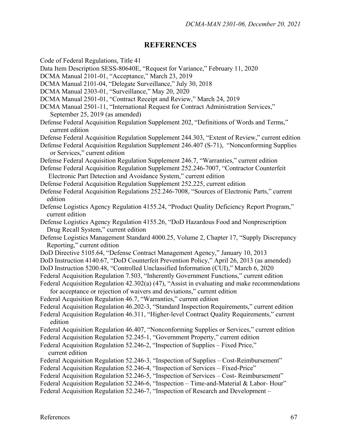## **REFERENCES**

Code of Federal Regulations, Title 41

- Data Item Description SESS-80640E, "Request for Variance," February 11, 2020
- DCMA Manual 2101-01, "Acceptance," March 23, 2019
- DCMA Manual 2101-04, "Delegate Surveillance," July 30, 2018
- DCMA Manual 2303-01, "Surveillance," May 20, 2020
- DCMA Manual 2501-01, "Contract Receipt and Review," March 24, 2019
- DCMA Manual 2501-11, "International Request for Contract Administration Services," September 25, 2019 (as amended)
- Defense Federal Acquisition Regulation Supplement 202, "Definitions of Words and Terms," current edition
- Defense Federal Acquisition Regulation Supplement 244.303, "Extent of Review," current edition
- Defense Federal Acquisition Regulation Supplement 246.407 (S-71), "Nonconforming Supplies or Services," current edition
- Defense Federal Acquisition Regulation Supplement 246.7, "Warranties," current edition
- Defense Federal Acquisition Regulation Supplement 252.246-7007, "Contractor Counterfeit Electronic Part Detection and Avoidance System," current edition
- Defense Federal Acquisition Regulation Supplement 252.225, current edition
- Defense Federal Acquisition Regulations 252.246-7008, "Sources of Electronic Parts," current edition
- Defense Logistics Agency Regulation 4155.24, "Product Quality Deficiency Report Program," current edition
- Defense Logistics Agency Regulation 4155.26, "DoD Hazardous Food and Nonprescription Drug Recall System," current edition
- Defense Logistics Management Standard 4000.25, Volume 2, Chapter 17, "Supply Discrepancy Reporting," current edition
- DoD Directive 5105.64, "Defense Contract Management Agency," January 10, 2013
- DoD Instruction 4140.67, "DoD Counterfeit Prevention Policy," April 26, 2013 (as amended)
- DoD Instruction 5200.48, "Controlled Unclassified Information (CUI)," March 6, 2020
- Federal Acquisition Regulation 7.503, "Inherently Government Functions," current edition
- Federal Acquisition Regulation 42.302(a) (47), "Assist in evaluating and make recommendations for acceptance or rejection of waivers and deviations," current edition
- Federal Acquisition Regulation 46.7, "Warranties," current edition
- Federal Acquisition Regulation 46.202-3, "Standard Inspection Requirements," current edition
- Federal Acquisition Regulation 46.311, "Higher-level Contract Quality Requirements," current edition
- Federal Acquisition Regulation 46.407, "Nonconforming Supplies or Services," current edition
- Federal Acquisition Regulation 52.245-1, "Government Property," current edition
- Federal Acquisition Regulation 52.246-2, "Inspection of Supplies Fixed Price," current edition
- Federal Acquisition Regulation 52.246-3, "Inspection of Supplies Cost-Reimbursement"
- Federal Acquisition Regulation 52.246-4, "Inspection of Services Fixed-Price"
- Federal Acquisition Regulation 52.246-5, "Inspection of Services Cost- Reimbursement"
- Federal Acquisition Regulation 52.246-6, "Inspection Time-and-Material & Labor- Hour"
- Federal Acquisition Regulation 52.246-7, "Inspection of Research and Development –